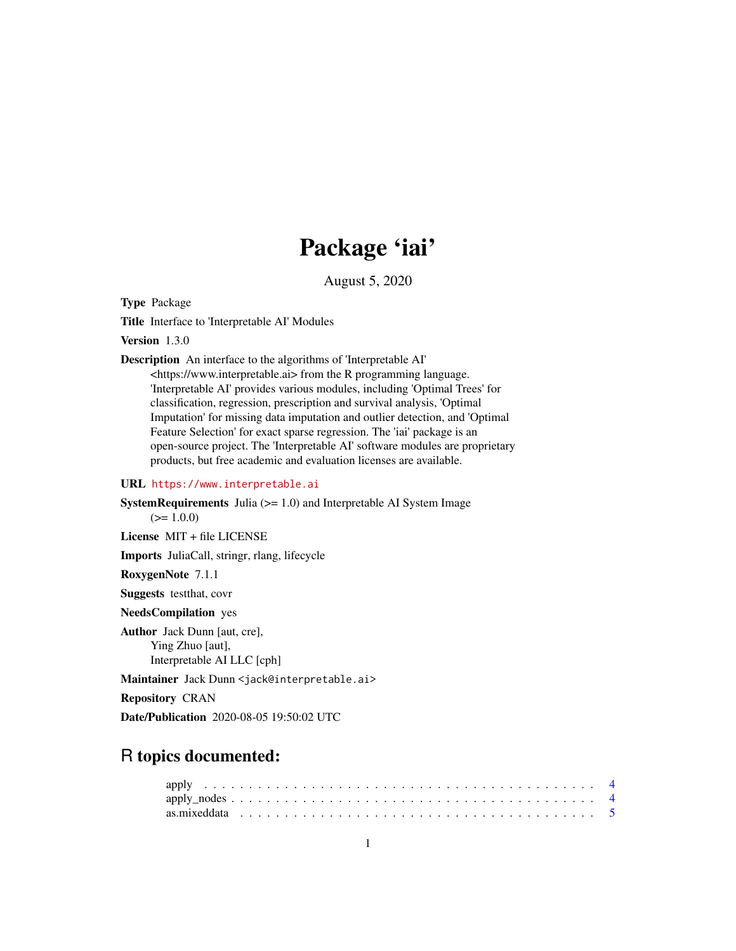# Package 'iai'

August 5, 2020

Type Package

Title Interface to 'Interpretable AI' Modules

Version 1.3.0

Description An interface to the algorithms of 'Interpretable AI'

<https://www.interpretable.ai> from the R programming language. 'Interpretable AI' provides various modules, including 'Optimal Trees' for classification, regression, prescription and survival analysis, 'Optimal Imputation' for missing data imputation and outlier detection, and 'Optimal Feature Selection' for exact sparse regression. The 'iai' package is an open-source project. The 'Interpretable AI' software modules are proprietary products, but free academic and evaluation licenses are available.

#### URL <https://www.interpretable.ai>

**SystemRequirements** Julia  $(>= 1.0)$  and Interpretable AI System Image  $(>= 1.0.0)$ 

License MIT + file LICENSE

Imports JuliaCall, stringr, rlang, lifecycle

RoxygenNote 7.1.1

Suggests testthat, covr

NeedsCompilation yes

Author Jack Dunn [aut, cre], Ying Zhuo [aut], Interpretable AI LLC [cph]

Maintainer Jack Dunn <jack@interpretable.ai>

Repository CRAN

Date/Publication 2020-08-05 19:50:02 UTC

## R topics documented: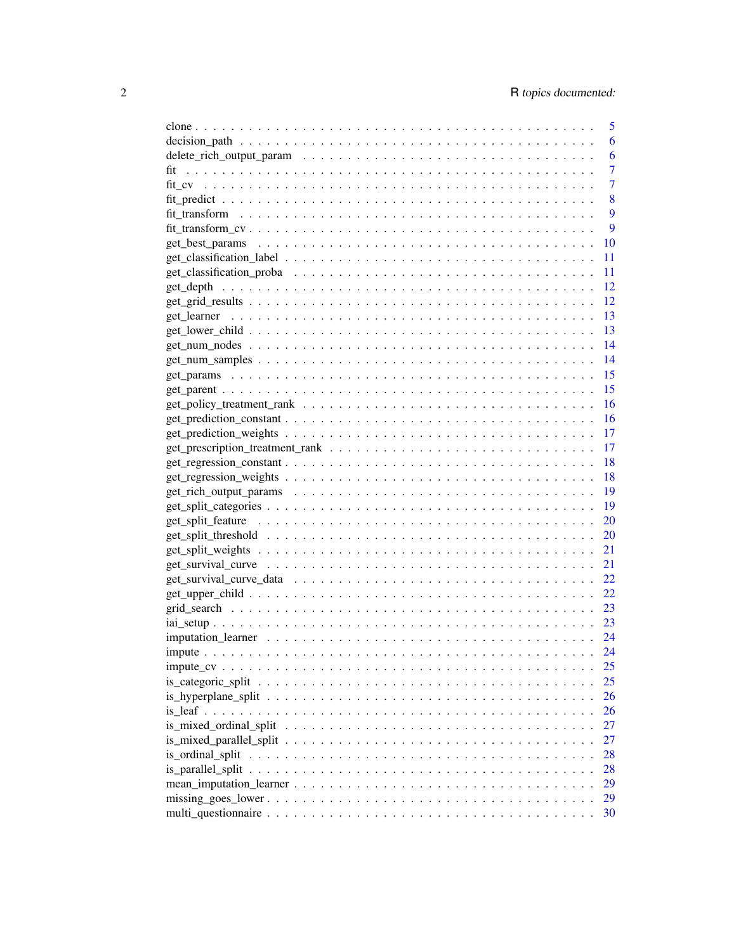|             | 5        |
|-------------|----------|
|             | 6        |
|             | 6        |
| fit         | 7        |
|             | 7        |
|             | 8        |
|             | 9        |
|             | 9        |
|             | 10       |
|             | 11       |
|             | 11       |
|             | 12       |
|             | 12       |
| get learner | 13       |
|             | 13       |
|             | 14       |
|             | -14      |
|             | 15       |
|             | 15       |
|             | 16       |
|             |          |
|             | 16<br>17 |
|             |          |
|             | 17       |
|             | 18       |
|             | 18       |
|             | 19       |
|             | 19       |
|             | 20       |
|             | 20       |
|             | 21       |
|             | 21       |
|             | 22       |
|             | 22       |
|             | 23       |
|             | 23       |
|             | 24       |
|             | 24       |
|             | 25       |
|             | 25       |
|             | 26       |
|             | 26       |
|             | 27       |
|             | 27       |
|             | 28       |
|             | 28       |
|             | 29       |
|             | 29       |
|             | 30       |
|             |          |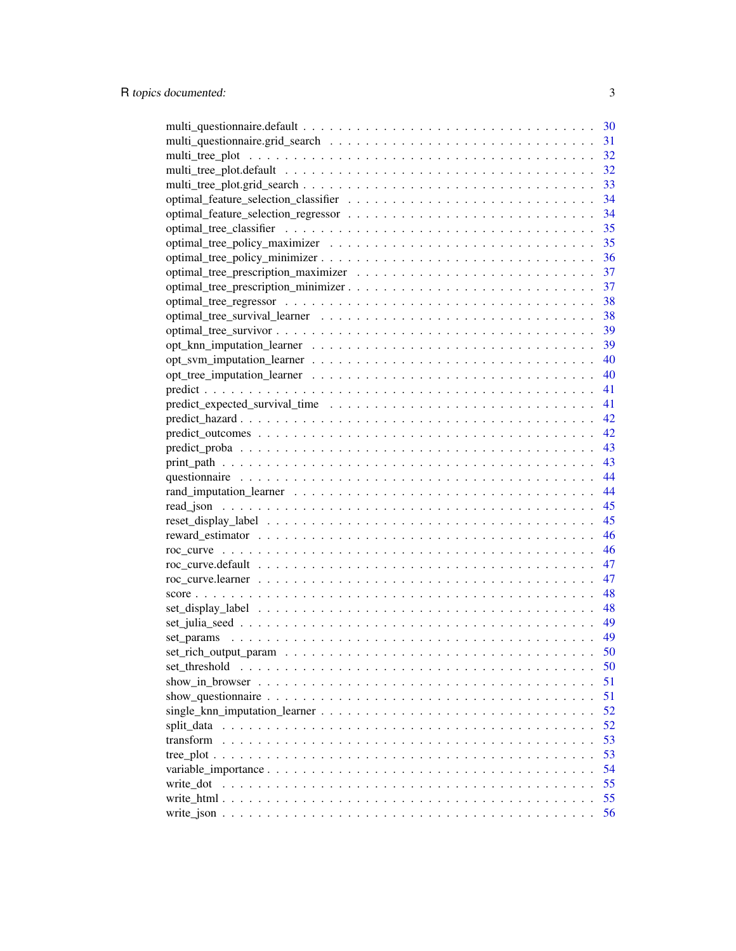|               | 30       |
|---------------|----------|
|               | 31       |
|               | 32       |
|               | 32       |
|               | 33       |
|               | 34       |
|               | 34       |
|               | 35       |
|               | 35       |
|               | 36       |
|               | 37       |
|               | 37       |
|               | 38       |
|               | 38       |
|               |          |
|               |          |
|               |          |
|               |          |
|               |          |
|               |          |
|               |          |
|               |          |
|               |          |
|               |          |
|               | 44       |
|               | 44       |
|               | 45       |
|               | 45       |
|               | 46       |
|               | 46       |
|               | 47       |
|               | 47       |
|               | 48       |
|               |          |
|               |          |
|               | 49       |
|               | 50       |
|               |          |
| set threshold | 50<br>51 |
|               |          |
|               | 51       |
|               | 52       |
|               | 52       |
| transform     | 53       |
|               | 53       |
|               | 54       |
| write dot     | 55       |
|               | 55       |
|               | 56       |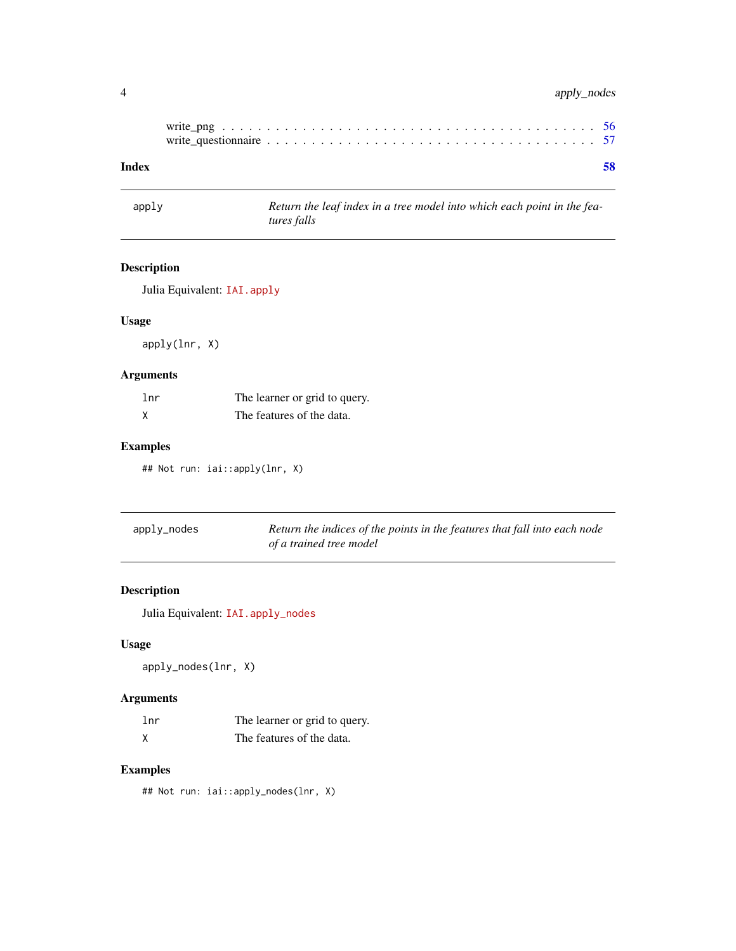## <span id="page-3-0"></span>4 apply\_nodes

| Index |  |  |  |  |  |  |  |  |  |  |  |  |  |  |  |  | 58 |
|-------|--|--|--|--|--|--|--|--|--|--|--|--|--|--|--|--|----|

apply *Return the leaf index in a tree model into which each point in the features falls*

## Description

Julia Equivalent: [IAI.apply](https://docs.interpretable.ai/v2.0.0/IAITrees/reference/#IAI.apply)

## Usage

apply(lnr, X)

## Arguments

| lnr | The learner or grid to query. |
|-----|-------------------------------|
|     | The features of the data.     |

## Examples

## Not run: iai::apply(lnr, X)

| apply_nodes | Return the indices of the points in the features that fall into each node |
|-------------|---------------------------------------------------------------------------|
|             | of a trained tree model                                                   |

## Description

Julia Equivalent: [IAI.apply\\_nodes](https://docs.interpretable.ai/v2.0.0/IAITrees/reference/#IAI.apply_nodes)

## Usage

apply\_nodes(lnr, X)

## Arguments

| 1 <sub>nr</sub> | The learner or grid to query. |
|-----------------|-------------------------------|
|                 | The features of the data.     |

## Examples

## Not run: iai::apply\_nodes(lnr, X)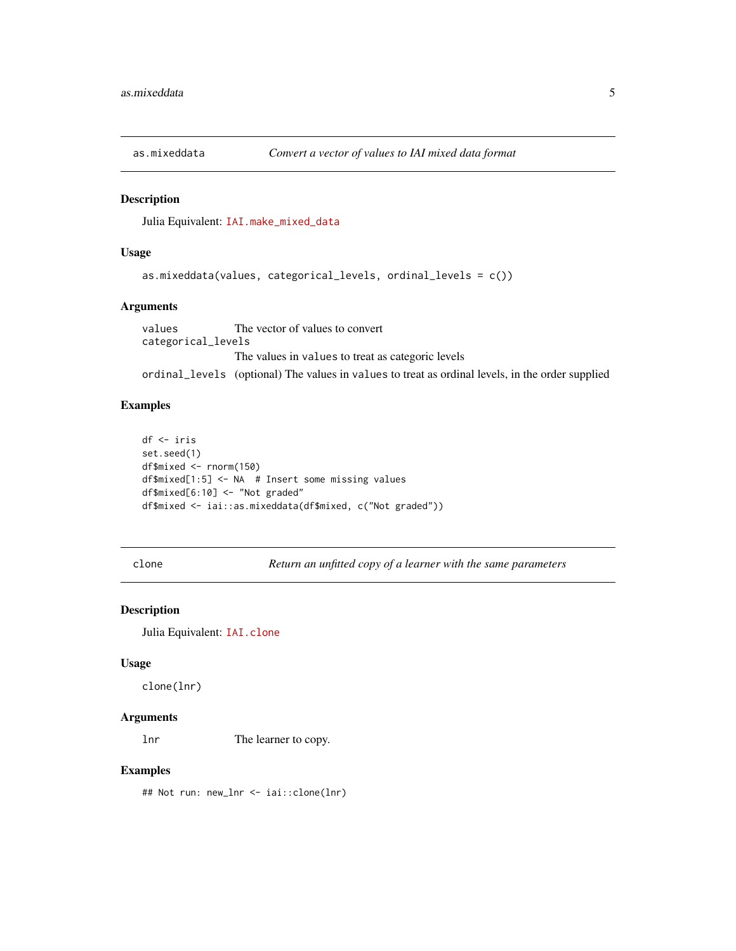<span id="page-4-0"></span>

Julia Equivalent: [IAI.make\\_mixed\\_data](https://docs.interpretable.ai/v2.0.0/IAIBase/reference/#IAI.make_mixed_data)

#### Usage

```
as.mixeddata(values, categorical_levels, ordinal_levels = c())
```
#### Arguments

values The vector of values to convert categorical\_levels The values in values to treat as categoric levels ordinal\_levels (optional) The values in values to treat as ordinal levels, in the order supplied

#### Examples

```
df <- iris
set.seed(1)
df$mixed <- rnorm(150)
df$mixed[1:5] <- NA # Insert some missing values
df$mixed[6:10] <- "Not graded"
df$mixed <- iai::as.mixeddata(df$mixed, c("Not graded"))
```
clone *Return an unfitted copy of a learner with the same parameters*

## Description

Julia Equivalent: [IAI.clone](https://docs.interpretable.ai/v2.0.0/IAIBase/reference/#IAI.clone)

#### Usage

clone(lnr)

#### Arguments

lnr The learner to copy.

#### Examples

## Not run: new\_lnr <- iai::clone(lnr)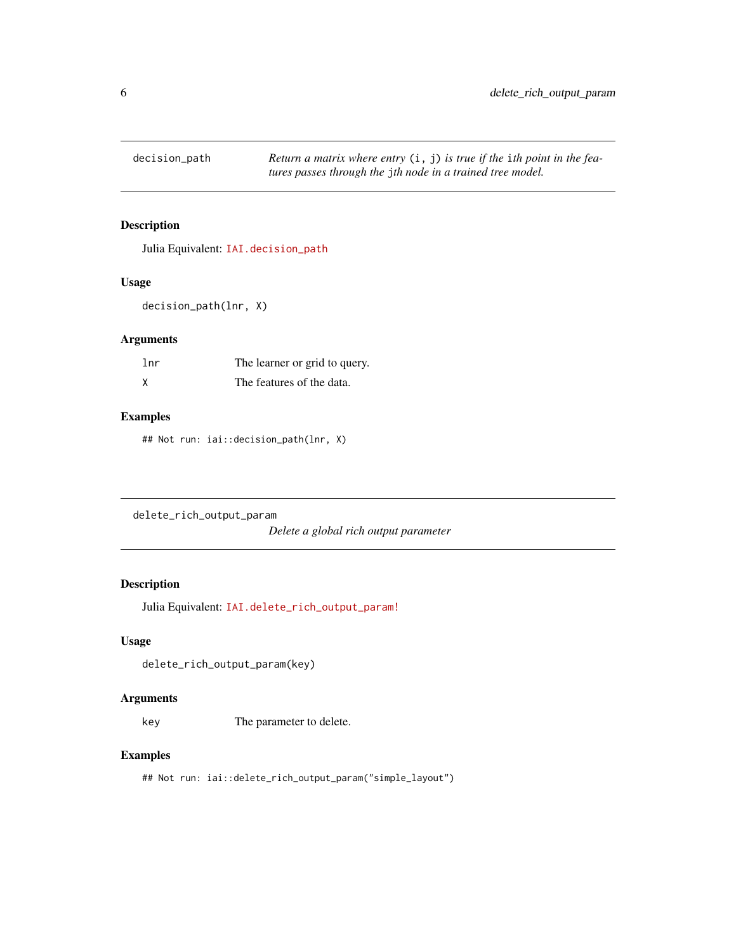<span id="page-5-0"></span>

Julia Equivalent: [IAI.decision\\_path](https://docs.interpretable.ai/v2.0.0/IAITrees/reference/#IAI.decision_path)

#### Usage

```
decision_path(lnr, X)
```
## Arguments

| lnr | The learner or grid to query. |
|-----|-------------------------------|
|     | The features of the data.     |

## Examples

## Not run: iai::decision\_path(lnr, X)

delete\_rich\_output\_param

*Delete a global rich output parameter*

## Description

Julia Equivalent: [IAI.delete\\_rich\\_output\\_param!](https://docs.interpretable.ai/v2.0.0/IAIBase/reference/#IAI.delete_rich_output_param!)

### Usage

```
delete_rich_output_param(key)
```
#### Arguments

key The parameter to delete.

## Examples

## Not run: iai::delete\_rich\_output\_param("simple\_layout")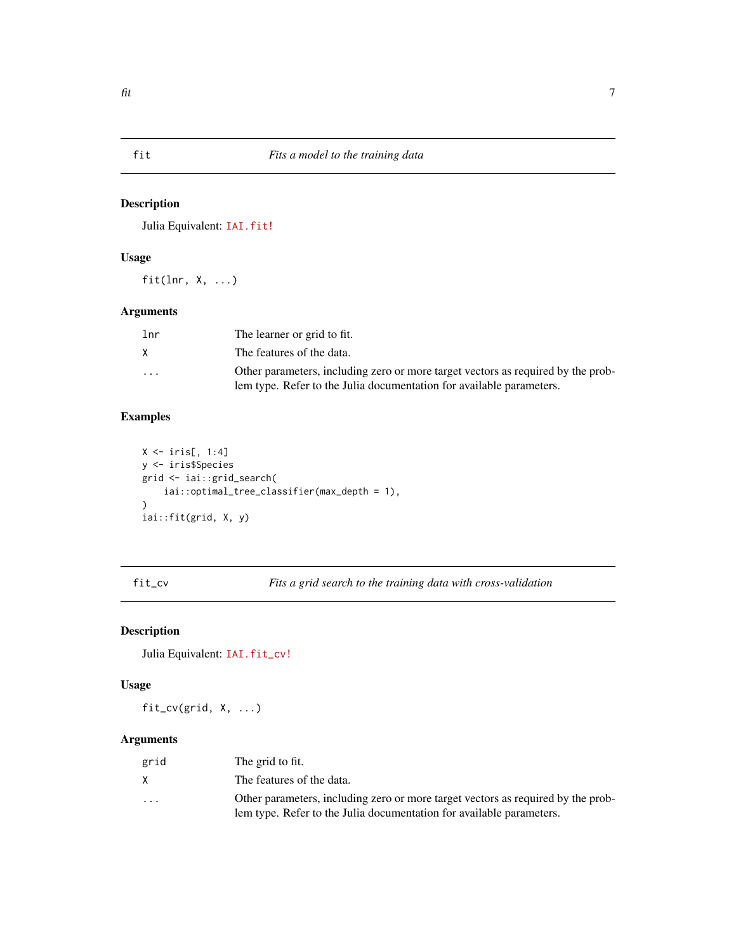<span id="page-6-0"></span>

Julia Equivalent: [IAI.fit!](https://docs.interpretable.ai/v2.0.0/IAIBase/reference/#IAI.fit!)

## Usage

fit(lnr,  $X, \ldots$ )

## Arguments

| lnr                     | The learner or grid to fit.                                                      |
|-------------------------|----------------------------------------------------------------------------------|
| X.                      | The features of the data.                                                        |
| $\cdot$ $\cdot$ $\cdot$ | Other parameters, including zero or more target vectors as required by the prob- |
|                         | lem type. Refer to the Julia documentation for available parameters.             |

## Examples

```
X \leftarrow \text{iris}[, 1:4]y <- iris$Species
grid <- iai::grid_search(
    iai::optimal_tree_classifier(max_depth = 1),
\mathcal{L}iai::fit(grid, X, y)
```
fit\_cv *Fits a grid search to the training data with cross-validation*

## Description

Julia Equivalent: [IAI.fit\\_cv!](https://docs.interpretable.ai/v2.0.0/IAIBase/reference/#IAI.fit_cv!)

#### Usage

fit\_cv(grid, X, ...)

## Arguments

| grid     | The grid to fit.                                                                                                                                         |
|----------|----------------------------------------------------------------------------------------------------------------------------------------------------------|
| X        | The features of the data.                                                                                                                                |
| $\cdots$ | Other parameters, including zero or more target vectors as required by the prob-<br>lem type. Refer to the Julia documentation for available parameters. |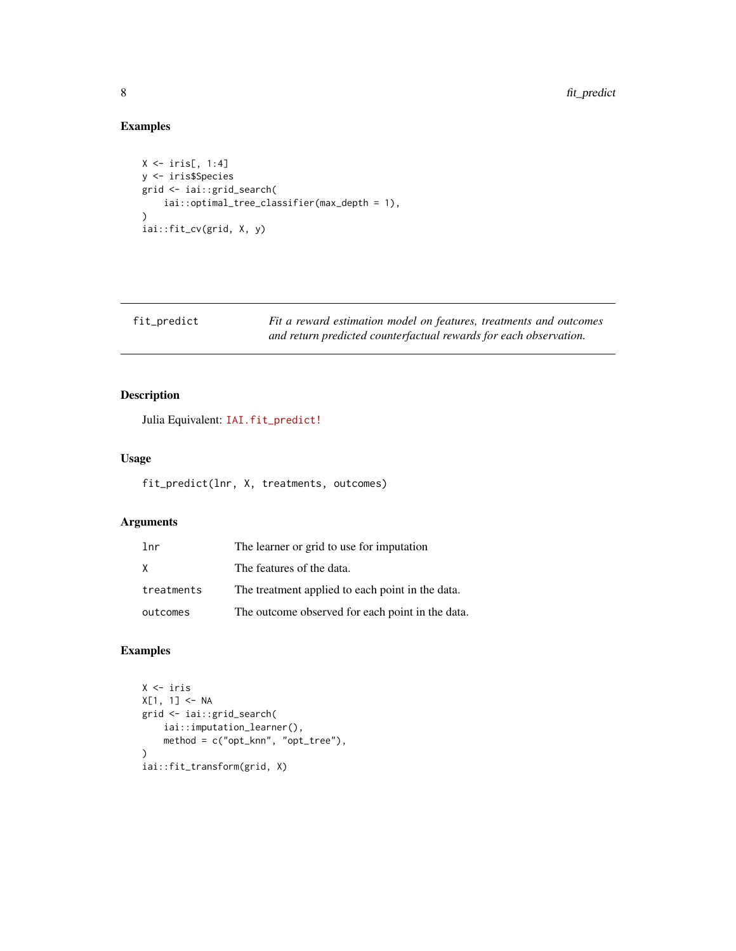## Examples

```
X \leftarrow \text{iris}[, 1:4]y <- iris$Species
grid <- iai::grid_search(
    iai::optimal_tree_classifier(max_depth = 1),
\mathcal{L}iai::fit_cv(grid, X, y)
```

| fit_predict | Fit a reward estimation model on features, treatments and outcomes |
|-------------|--------------------------------------------------------------------|
|             | and return predicted counterfactual rewards for each observation.  |

## Description

Julia Equivalent: [IAI.fit\\_predict!](https://docs.interpretable.ai/v2.0.0/IAIBase/reference/#IAI.fit_predict!)

## Usage

```
fit_predict(lnr, X, treatments, outcomes)
```
## Arguments

| 1 <sub>nr</sub> | The learner or grid to use for imputation        |
|-----------------|--------------------------------------------------|
| X               | The features of the data.                        |
| treatments      | The treatment applied to each point in the data. |
| outcomes        | The outcome observed for each point in the data. |

## Examples

```
X <- iris
X[1, 1] <- NA
grid <- iai::grid_search(
    iai::imputation_learner(),
    method = c("opt_knn", "opt_tree"),
)
iai::fit_transform(grid, X)
```
<span id="page-7-0"></span>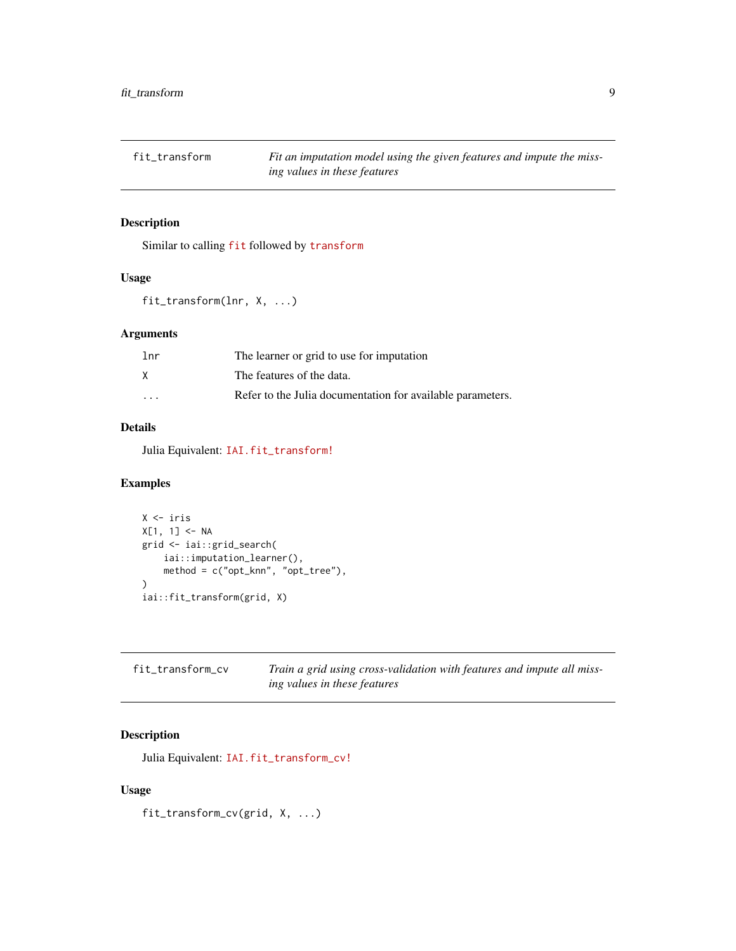<span id="page-8-0"></span>

Similar to calling [fit](https://docs.interpretable.ai/v2.0.0/IAI-R/reference/#iai::fit) followed by [transform](https://docs.interpretable.ai/v2.0.0/IAI-R/reference/#iai::transform)

## Usage

```
fit_transform(lnr, X, ...)
```
## Arguments

| lnr      | The learner or grid to use for imputation                  |
|----------|------------------------------------------------------------|
|          | The features of the data.                                  |
| $\cdots$ | Refer to the Julia documentation for available parameters. |

### Details

Julia Equivalent: [IAI.fit\\_transform!](https://docs.interpretable.ai/v2.0.0/IAIBase/reference/#IAI.fit_transform!)

## Examples

```
X <- iris
X[1, 1] <- NA
grid <- iai::grid_search(
    iai::imputation_learner(),
    method = c("opt_knn", "opt_tree"),
\lambdaiai::fit_transform(grid, X)
```

| fit_transform_cv | Train a grid using cross-validation with features and impute all miss- |
|------------------|------------------------------------------------------------------------|
|                  | ing values in these features                                           |

## Description

Julia Equivalent: [IAI.fit\\_transform\\_cv!](https://docs.interpretable.ai/v2.0.0/IAIBase/reference/#IAI.fit_transform_cv!)

## Usage

fit\_transform\_cv(grid, X, ...)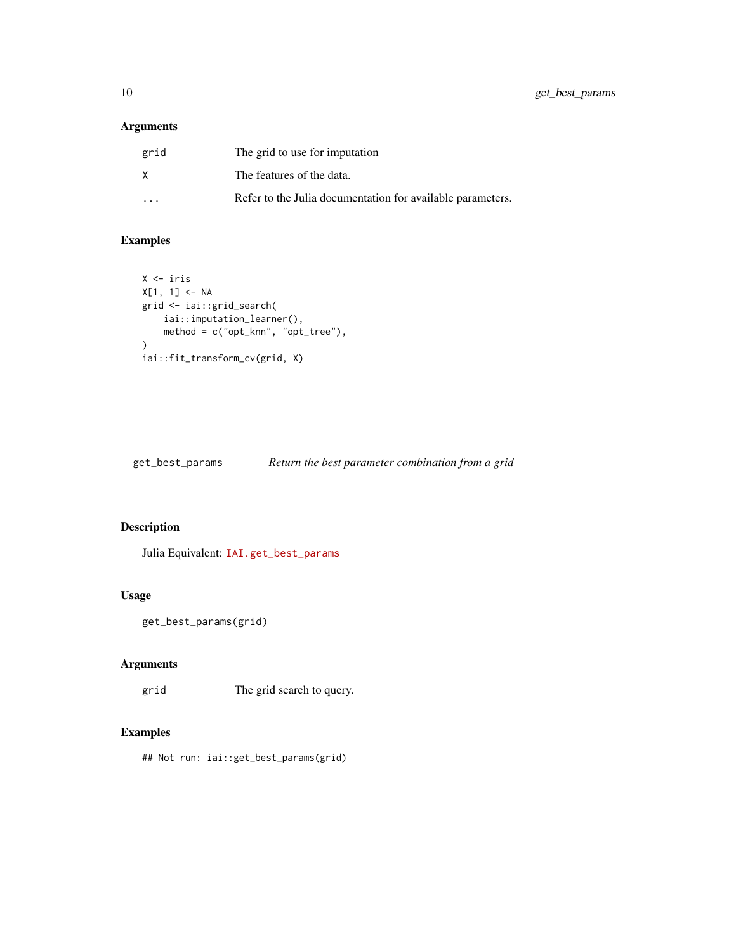## <span id="page-9-0"></span>Arguments

| grid    | The grid to use for imputation                             |
|---------|------------------------------------------------------------|
| X       | The features of the data.                                  |
| $\cdot$ | Refer to the Julia documentation for available parameters. |

## Examples

```
X <- iris
X[1, 1] <- NA
grid <- iai::grid_search(
    iai::imputation_learner(),
    method = c("opt_knn", "opt_tree"),
)
iai::fit_transform_cv(grid, X)
```
get\_best\_params *Return the best parameter combination from a grid*

## Description

Julia Equivalent: [IAI.get\\_best\\_params](https://docs.interpretable.ai/v2.0.0/IAIBase/reference/#IAI.get_best_params)

## Usage

```
get_best_params(grid)
```
## Arguments

grid The grid search to query.

## Examples

## Not run: iai::get\_best\_params(grid)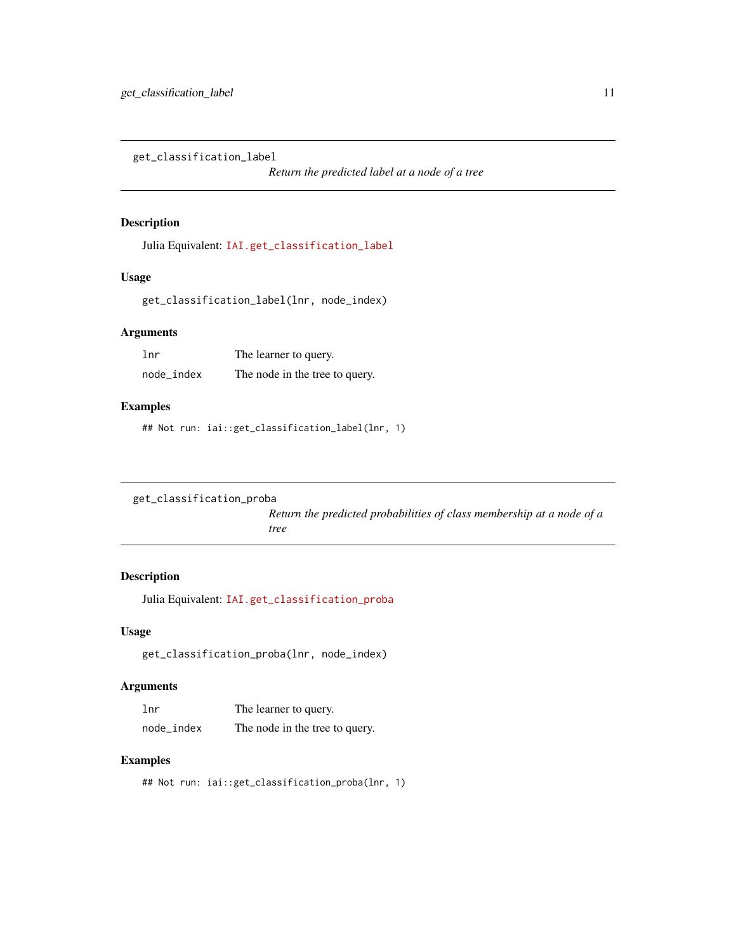<span id="page-10-0"></span>get\_classification\_label

*Return the predicted label at a node of a tree*

### Description

Julia Equivalent: [IAI.get\\_classification\\_label](https://docs.interpretable.ai/v2.0.0/IAITrees/reference/#IAI.get_classification_label)

### Usage

get\_classification\_label(lnr, node\_index)

#### Arguments

| lnr        | The learner to query.          |
|------------|--------------------------------|
| node_index | The node in the tree to query. |

## Examples

## Not run: iai::get\_classification\_label(lnr, 1)

```
get_classification_proba
```
*Return the predicted probabilities of class membership at a node of a tree*

### Description

Julia Equivalent: [IAI.get\\_classification\\_proba](https://docs.interpretable.ai/v2.0.0/IAITrees/reference/#IAI.get_classification_proba)

## Usage

get\_classification\_proba(lnr, node\_index)

## Arguments

| 1 <sub>nr</sub> | The learner to query.          |
|-----------------|--------------------------------|
| node_index      | The node in the tree to query. |

## Examples

## Not run: iai::get\_classification\_proba(lnr, 1)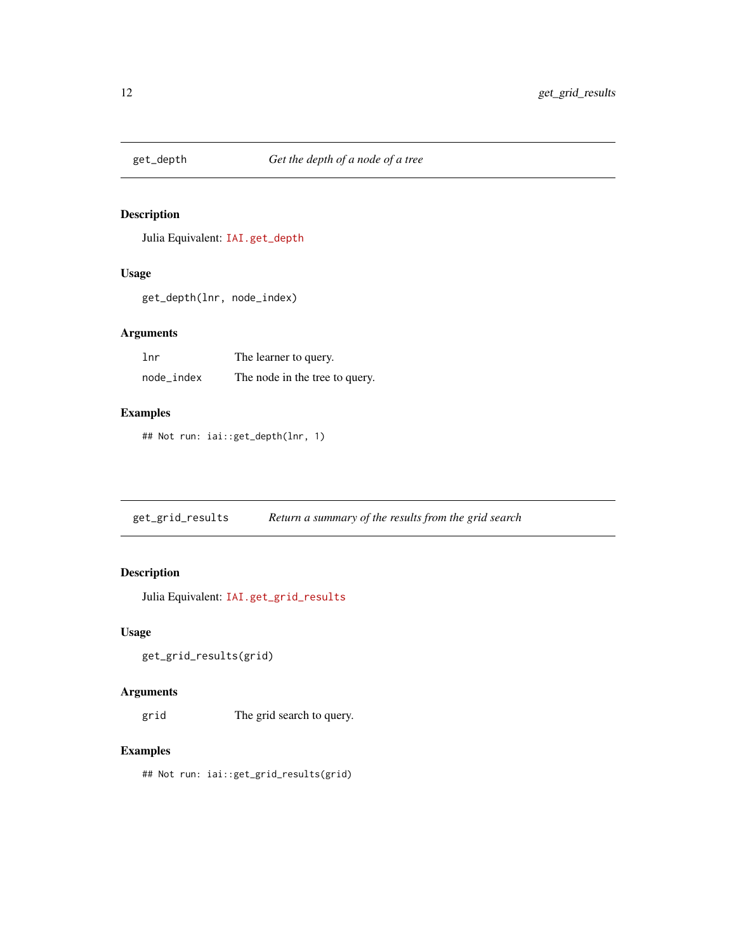<span id="page-11-0"></span>

Julia Equivalent: [IAI.get\\_depth](https://docs.interpretable.ai/v2.0.0/IAITrees/reference/#IAI.get_depth)

## Usage

get\_depth(lnr, node\_index)

## Arguments

| 1 <sub>nr</sub> | The learner to query.          |
|-----------------|--------------------------------|
| node_index      | The node in the tree to query. |

## Examples

## Not run: iai::get\_depth(lnr, 1)

get\_grid\_results *Return a summary of the results from the grid search*

## Description

Julia Equivalent: [IAI.get\\_grid\\_results](https://docs.interpretable.ai/v2.0.0/IAIBase/reference/#IAI.get_grid_results)

## Usage

```
get_grid_results(grid)
```
## Arguments

grid The grid search to query.

## Examples

## Not run: iai::get\_grid\_results(grid)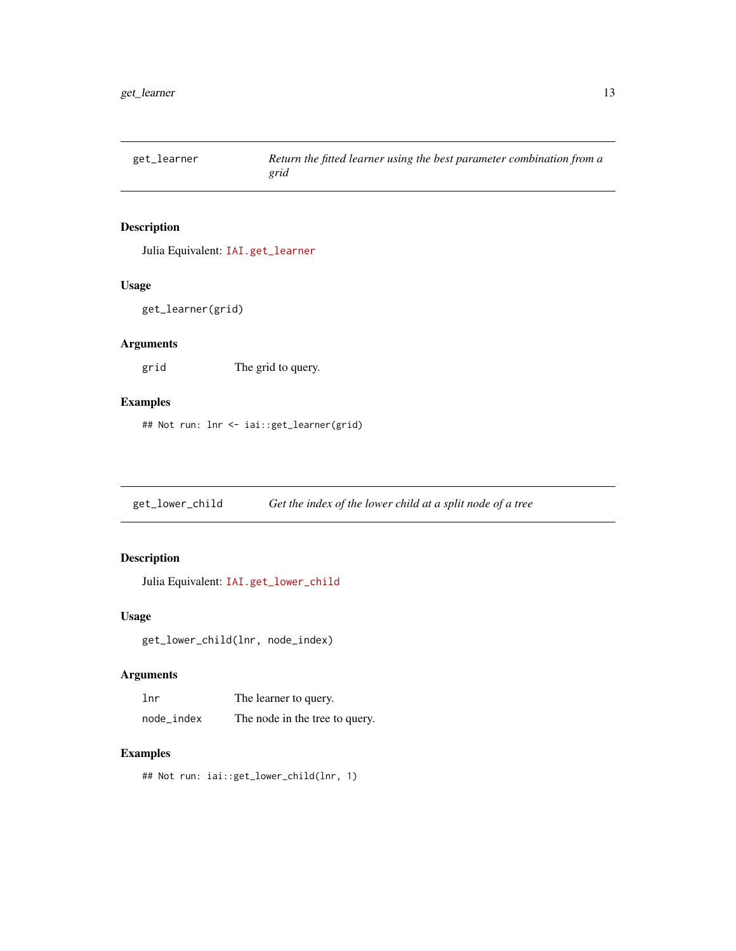<span id="page-12-0"></span>

Julia Equivalent: [IAI.get\\_learner](https://docs.interpretable.ai/v2.0.0/IAIBase/reference/#IAI.get_learner)

## Usage

get\_learner(grid)

## Arguments

grid The grid to query.

## Examples

## Not run: lnr <- iai::get\_learner(grid)

get\_lower\_child *Get the index of the lower child at a split node of a tree*

## Description

Julia Equivalent: [IAI.get\\_lower\\_child](https://docs.interpretable.ai/v2.0.0/IAITrees/reference/#IAI.get_lower_child)

## Usage

get\_lower\_child(lnr, node\_index)

## Arguments

| lnr        | The learner to query.          |
|------------|--------------------------------|
| node_index | The node in the tree to query. |

## Examples

## Not run: iai::get\_lower\_child(lnr, 1)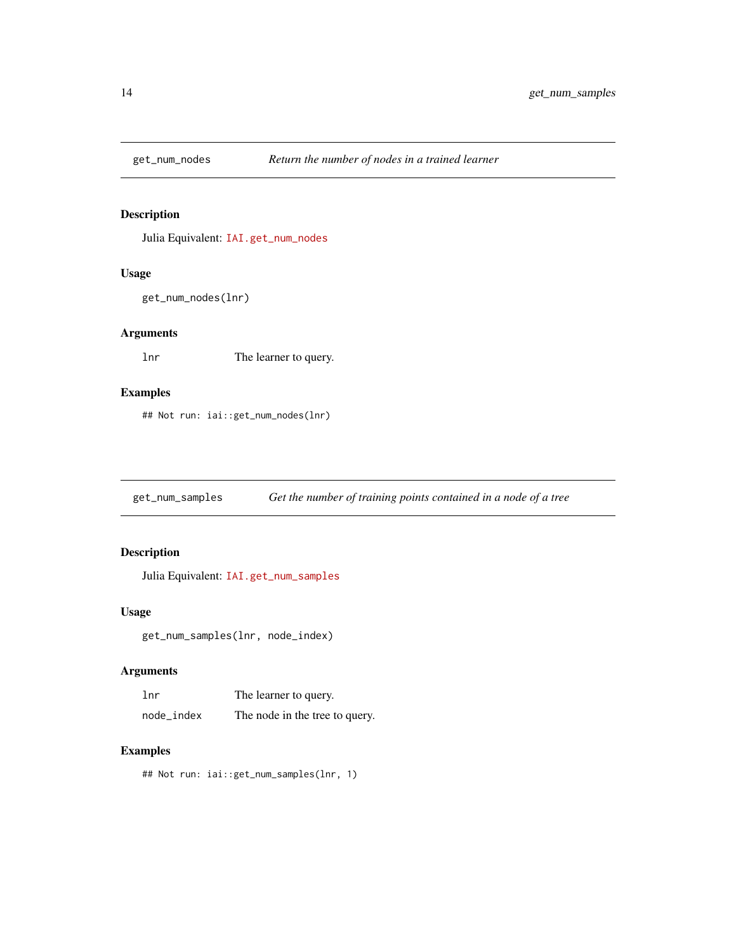<span id="page-13-0"></span>

Julia Equivalent: [IAI.get\\_num\\_nodes](https://docs.interpretable.ai/v2.0.0/IAITrees/reference/#IAI.get_num_nodes)

### Usage

```
get_num_nodes(lnr)
```
## Arguments

lnr The learner to query.

## Examples

## Not run: iai::get\_num\_nodes(lnr)

get\_num\_samples *Get the number of training points contained in a node of a tree*

## Description

Julia Equivalent: [IAI.get\\_num\\_samples](https://docs.interpretable.ai/v2.0.0/IAITrees/reference/#IAI.get_num_samples)

#### Usage

get\_num\_samples(lnr, node\_index)

### Arguments

| 1 <sub>nr</sub> | The learner to query.          |
|-----------------|--------------------------------|
| node_index      | The node in the tree to query. |

## Examples

## Not run: iai::get\_num\_samples(lnr, 1)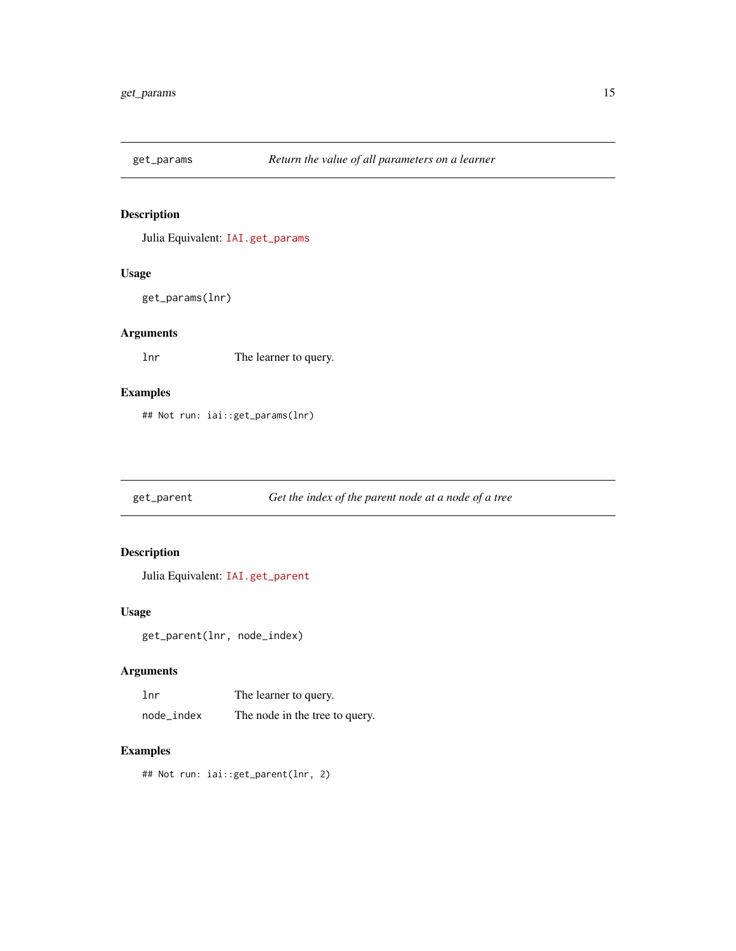<span id="page-14-0"></span>

Julia Equivalent: [IAI.get\\_params](https://docs.interpretable.ai/v2.0.0/IAIBase/reference/#IAI.get_params)

## Usage

get\_params(lnr)

## Arguments

lnr The learner to query.

## Examples

## Not run: iai::get\_params(lnr)

get\_parent *Get the index of the parent node at a node of a tree*

## Description

Julia Equivalent: [IAI.get\\_parent](https://docs.interpretable.ai/v2.0.0/IAITrees/reference/#IAI.get_parent)

## Usage

get\_parent(lnr, node\_index)

## Arguments

| 1 <sub>nr</sub> | The learner to query.          |
|-----------------|--------------------------------|
| node_index      | The node in the tree to query. |

## Examples

## Not run: iai::get\_parent(lnr, 2)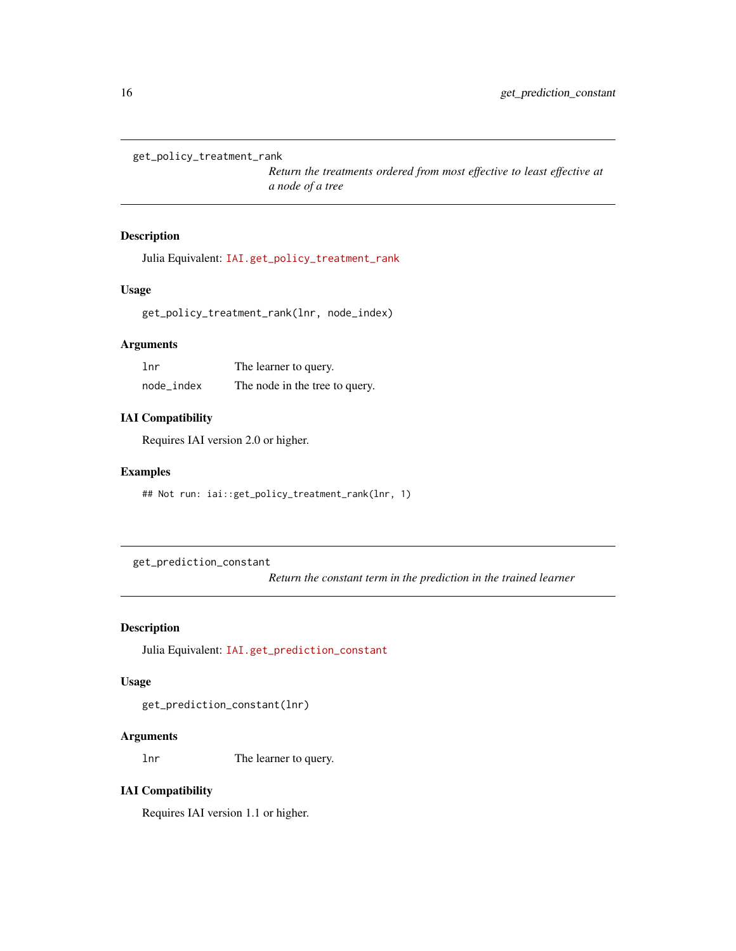```
get_policy_treatment_rank
```
*Return the treatments ordered from most effective to least effective at a node of a tree*

## Description

Julia Equivalent: [IAI.get\\_policy\\_treatment\\_rank](https://docs.interpretable.ai/v2.0.0/IAITrees/reference/#IAI.get_policy_treatment_rank)

## Usage

get\_policy\_treatment\_rank(lnr, node\_index)

## Arguments

| 1 <sub>nr</sub> | The learner to query.          |
|-----------------|--------------------------------|
| node_index      | The node in the tree to query. |

### IAI Compatibility

Requires IAI version 2.0 or higher.

## Examples

## Not run: iai::get\_policy\_treatment\_rank(lnr, 1)

get\_prediction\_constant

*Return the constant term in the prediction in the trained learner*

## Description

Julia Equivalent: [IAI.get\\_prediction\\_constant](https://docs.interpretable.ai/v2.0.0/OptimalFeatureSelection/reference/#IAI.get_prediction_constant)

### Usage

get\_prediction\_constant(lnr)

## Arguments

lnr The learner to query.

## IAI Compatibility

Requires IAI version 1.1 or higher.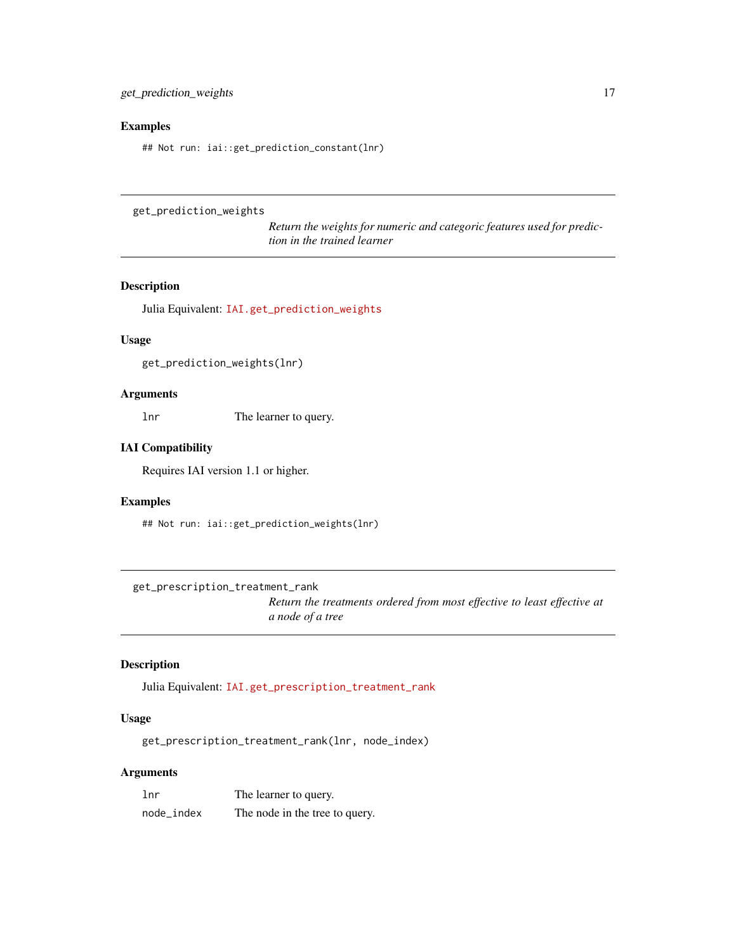## <span id="page-16-0"></span>Examples

## Not run: iai::get\_prediction\_constant(lnr)

```
get_prediction_weights
```
*Return the weights for numeric and categoric features used for prediction in the trained learner*

## Description

Julia Equivalent: [IAI.get\\_prediction\\_weights](https://docs.interpretable.ai/v2.0.0/OptimalFeatureSelection/reference/#IAI.get_prediction_weights)

## Usage

get\_prediction\_weights(lnr)

## Arguments

lnr The learner to query.

## IAI Compatibility

Requires IAI version 1.1 or higher.

## Examples

## Not run: iai::get\_prediction\_weights(lnr)

get\_prescription\_treatment\_rank

*Return the treatments ordered from most effective to least effective at a node of a tree*

## Description

Julia Equivalent: [IAI.get\\_prescription\\_treatment\\_rank](https://docs.interpretable.ai/v2.0.0/IAITrees/reference/#IAI.get_prescription_treatment_rank)

#### Usage

get\_prescription\_treatment\_rank(lnr, node\_index)

## Arguments

| lnr        | The learner to query.          |
|------------|--------------------------------|
| node_index | The node in the tree to query. |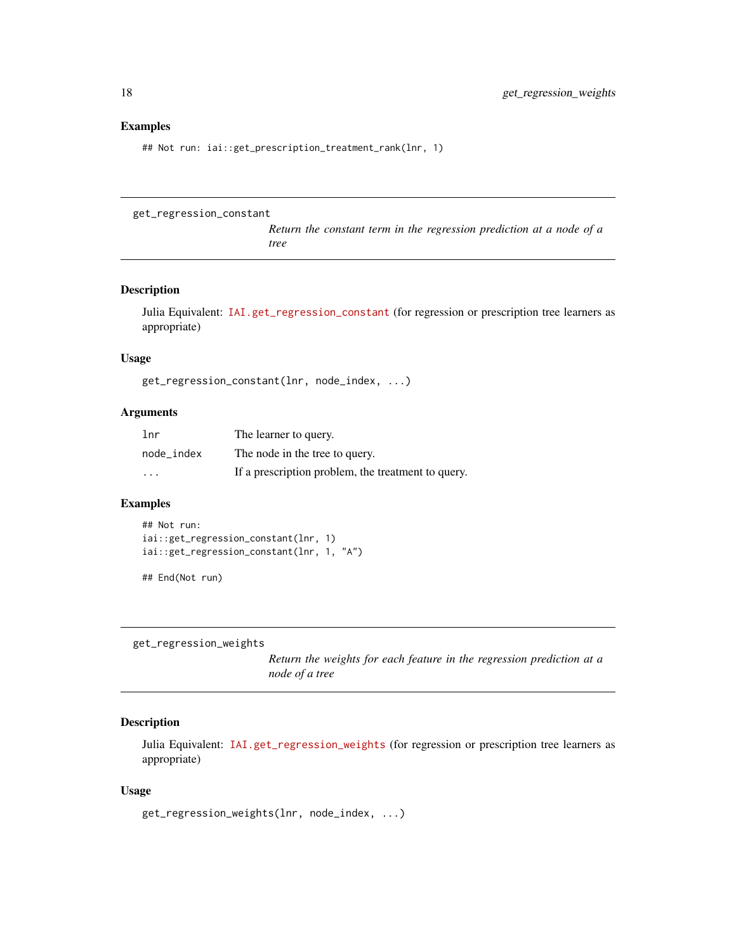#### <span id="page-17-0"></span>Examples

## Not run: iai::get\_prescription\_treatment\_rank(lnr, 1)

```
get_regression_constant
```
*Return the constant term in the regression prediction at a node of a tree*

## Description

Julia Equivalent: [IAI.get\\_regression\\_constant](https://docs.interpretable.ai/v2.0.0/IAITrees/reference/#IAITrees-API-Reference-1) (for regression or prescription tree learners as appropriate)

#### Usage

get\_regression\_constant(lnr, node\_index, ...)

#### Arguments

| 1 <sub>nr</sub> | The learner to query.                              |
|-----------------|----------------------------------------------------|
| node index      | The node in the tree to query.                     |
| $\cdots$        | If a prescription problem, the treatment to query. |

## Examples

```
## Not run:
iai::get_regression_constant(lnr, 1)
iai::get_regression_constant(lnr, 1, "A")
```
## End(Not run)

get\_regression\_weights

*Return the weights for each feature in the regression prediction at a node of a tree*

## Description

Julia Equivalent: [IAI.get\\_regression\\_weights](https://docs.interpretable.ai/v2.0.0/IAITrees/reference/#IAITrees-API-Reference-1) (for regression or prescription tree learners as appropriate)

#### Usage

```
get_regression_weights(lnr, node_index, ...)
```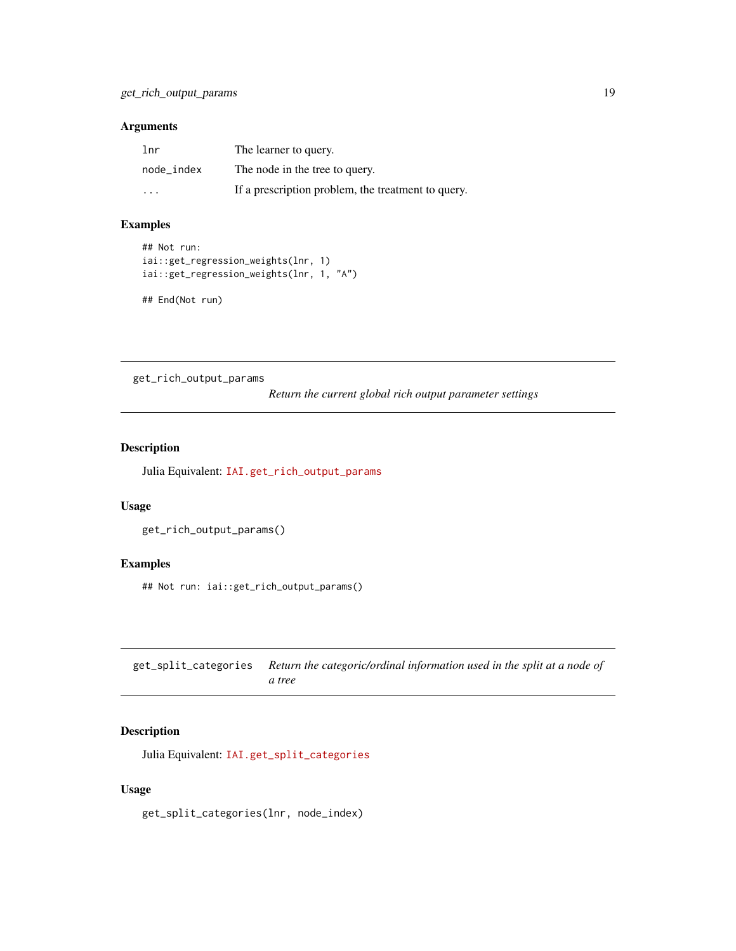#### <span id="page-18-0"></span>Arguments

| lnr        | The learner to query.                              |
|------------|----------------------------------------------------|
| node index | The node in the tree to query.                     |
| $\cdot$    | If a prescription problem, the treatment to query. |

## Examples

```
## Not run:
iai::get_regression_weights(lnr, 1)
iai::get_regression_weights(lnr, 1, "A")
```
## End(Not run)

get\_rich\_output\_params

*Return the current global rich output parameter settings*

## Description

Julia Equivalent: [IAI.get\\_rich\\_output\\_params](https://docs.interpretable.ai/v2.0.0/IAIBase/reference/#IAI.get_rich_output_params)

### Usage

```
get_rich_output_params()
```
### Examples

## Not run: iai::get\_rich\_output\_params()

get\_split\_categories *Return the categoric/ordinal information used in the split at a node of a tree*

## Description

Julia Equivalent: [IAI.get\\_split\\_categories](https://docs.interpretable.ai/v2.0.0/IAITrees/reference/#IAI.get_split_categories)

#### Usage

get\_split\_categories(lnr, node\_index)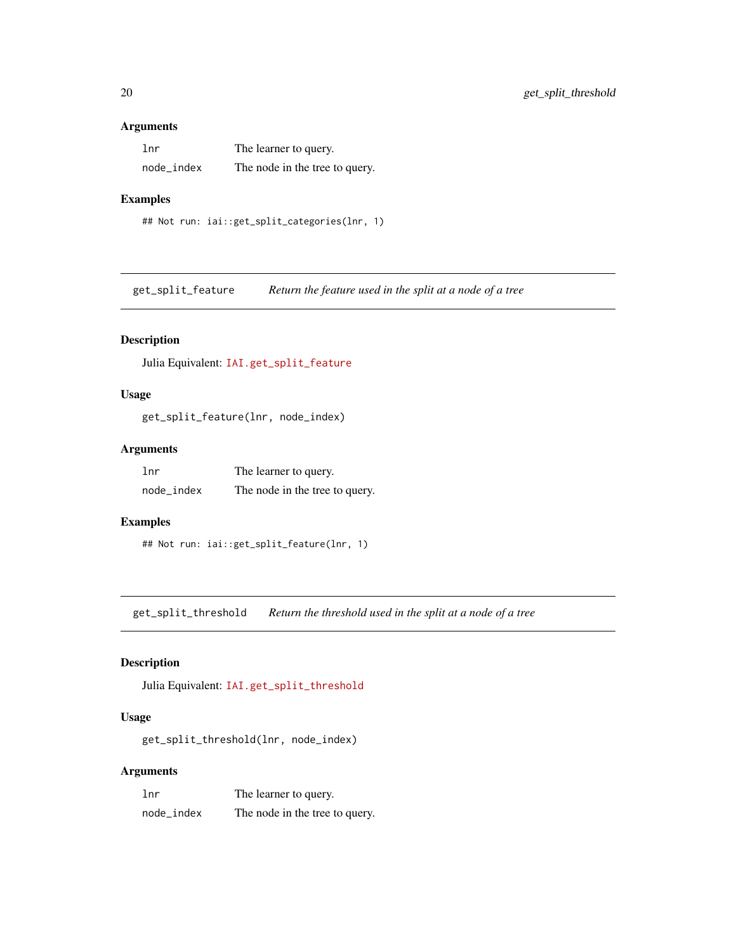#### <span id="page-19-0"></span>Arguments

| 1 <sub>nr</sub> | The learner to query.          |
|-----------------|--------------------------------|
| node_index      | The node in the tree to query. |

### Examples

```
## Not run: iai::get_split_categories(lnr, 1)
```
get\_split\_feature *Return the feature used in the split at a node of a tree*

## Description

Julia Equivalent: [IAI.get\\_split\\_feature](https://docs.interpretable.ai/v2.0.0/IAITrees/reference/#IAI.get_split_feature)

## Usage

get\_split\_feature(lnr, node\_index)

## Arguments

| 1 <sub>nr</sub> | The learner to query.          |
|-----------------|--------------------------------|
| node_index      | The node in the tree to query. |

## Examples

```
## Not run: iai::get_split_feature(lnr, 1)
```
get\_split\_threshold *Return the threshold used in the split at a node of a tree*

## Description

Julia Equivalent: [IAI.get\\_split\\_threshold](https://docs.interpretable.ai/v2.0.0/IAITrees/reference/#IAI.get_split_threshold)

## Usage

get\_split\_threshold(lnr, node\_index)

## Arguments

| lnr        | The learner to query.          |
|------------|--------------------------------|
| node index | The node in the tree to query. |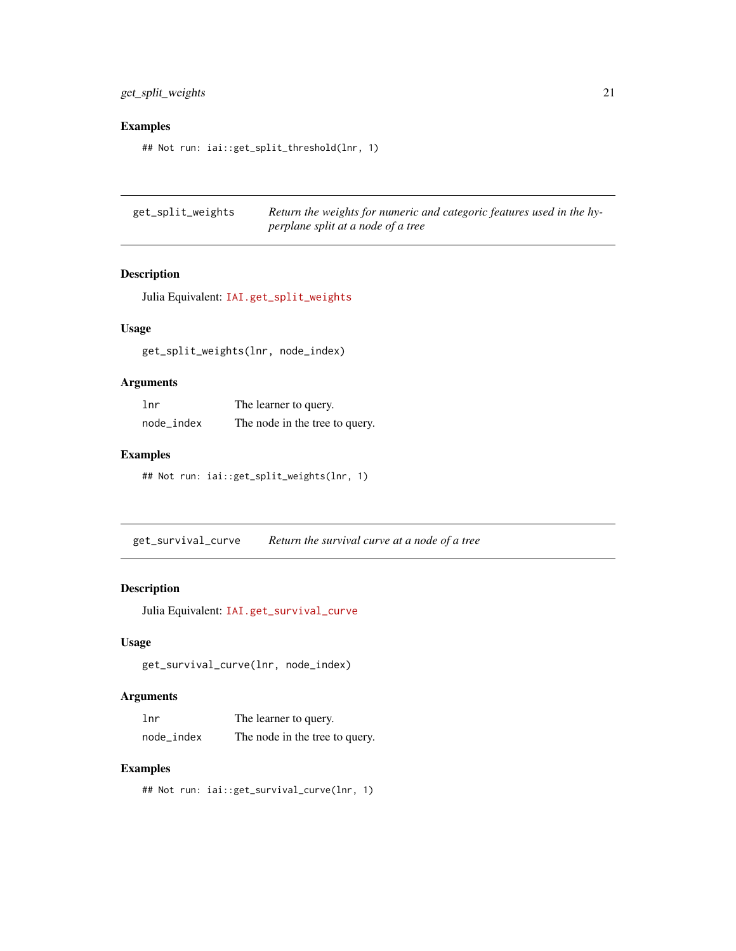<span id="page-20-0"></span>get\_split\_weights 21

### Examples

## Not run: iai::get\_split\_threshold(lnr, 1)

get\_split\_weights *Return the weights for numeric and categoric features used in the hyperplane split at a node of a tree*

### Description

Julia Equivalent: [IAI.get\\_split\\_weights](https://docs.interpretable.ai/v2.0.0/IAITrees/reference/#IAI.get_split_weights)

## Usage

get\_split\_weights(lnr, node\_index)

## Arguments

| 1 <sub>nr</sub> | The learner to query.          |
|-----------------|--------------------------------|
| node_index      | The node in the tree to query. |

## Examples

## Not run: iai::get\_split\_weights(lnr, 1)

get\_survival\_curve *Return the survival curve at a node of a tree*

## Description

Julia Equivalent: [IAI.get\\_survival\\_curve](https://docs.interpretable.ai/v2.0.0/IAITrees/reference/#IAI.get_survival_curve)

## Usage

```
get_survival_curve(lnr, node_index)
```
#### Arguments

| 1 <sub>nr</sub> | The learner to query.          |
|-----------------|--------------------------------|
| node_index      | The node in the tree to query. |

## Examples

## Not run: iai::get\_survival\_curve(lnr, 1)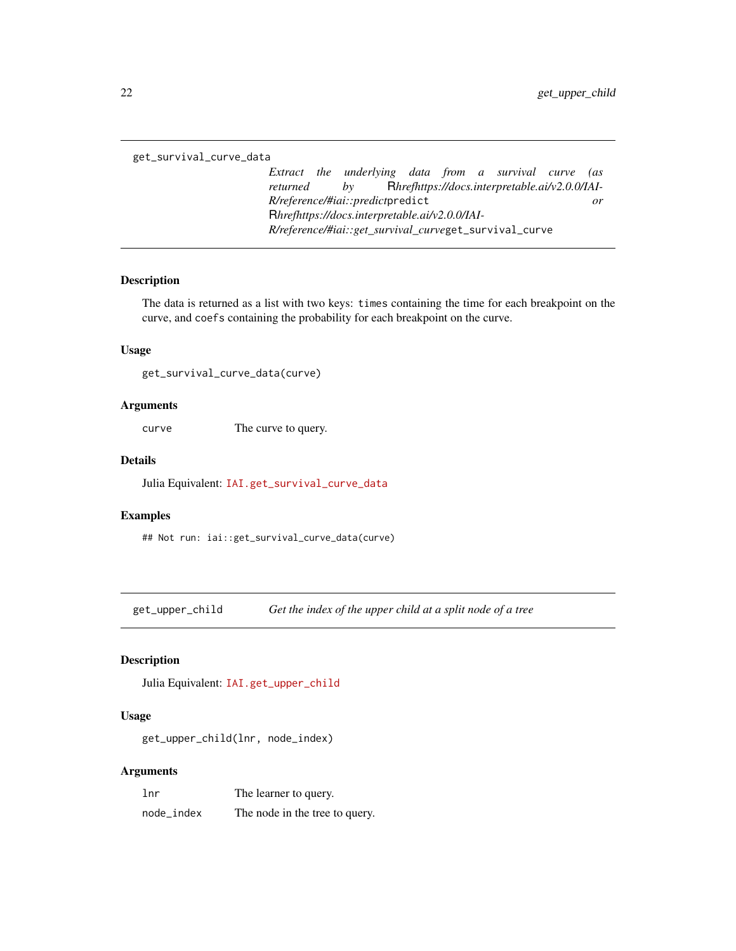<span id="page-21-0"></span>get\_survival\_curve\_data

*Extract the underlying data from a survival curve (as returned by* R*hrefhttps://docs.interpretable.ai/v2.0.0/IAI-R/reference/#iai::predict*predict *or* R*hrefhttps://docs.interpretable.ai/v2.0.0/IAI-R/reference/#iai::get\_survival\_curve*get\_survival\_curve

#### Description

The data is returned as a list with two keys: times containing the time for each breakpoint on the curve, and coefs containing the probability for each breakpoint on the curve.

## Usage

get\_survival\_curve\_data(curve)

#### Arguments

curve The curve to query.

## Details

Julia Equivalent: [IAI.get\\_survival\\_curve\\_data](https://docs.interpretable.ai/v2.0.0/IAIBase/reference/#IAI.get_survival_curve_data)

#### Examples

## Not run: iai::get\_survival\_curve\_data(curve)

get\_upper\_child *Get the index of the upper child at a split node of a tree*

## Description

Julia Equivalent: [IAI.get\\_upper\\_child](https://docs.interpretable.ai/v2.0.0/IAITrees/reference/#IAI.get_upper_child)

#### Usage

get\_upper\_child(lnr, node\_index)

#### Arguments

| lnr        | The learner to query.          |
|------------|--------------------------------|
| node_index | The node in the tree to query. |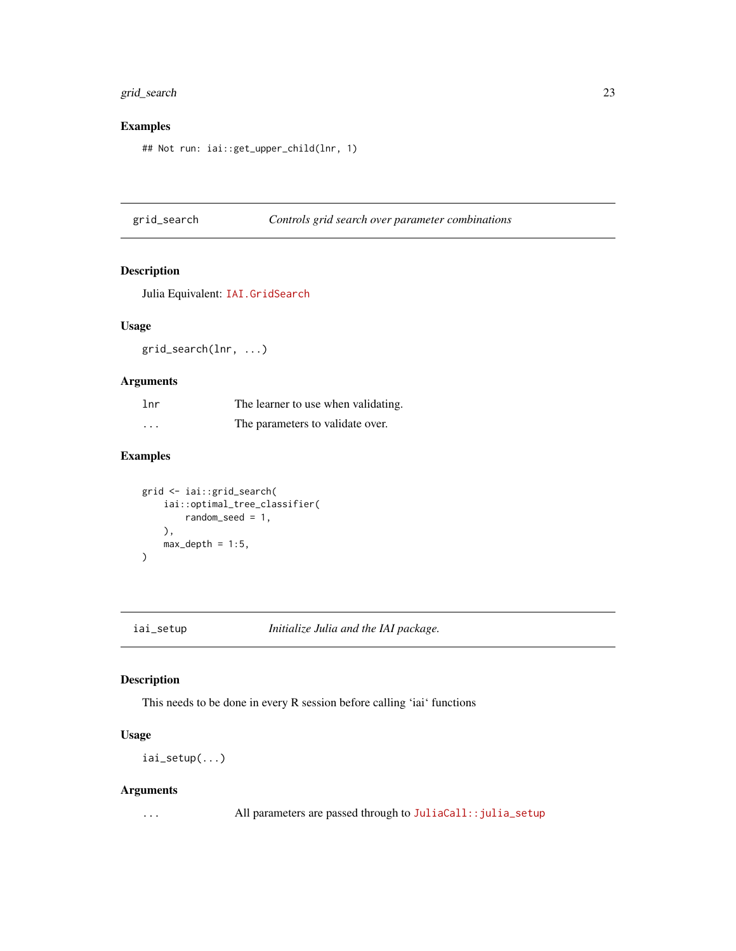## <span id="page-22-0"></span>grid\_search 23

## Examples

## Not run: iai::get\_upper\_child(lnr, 1)

## grid\_search *Controls grid search over parameter combinations*

## Description

Julia Equivalent: [IAI.GridSearch](https://docs.interpretable.ai/v2.0.0/IAIBase/reference/#IAI.GridSearch)

#### Usage

grid\_search(lnr, ...)

## Arguments

| 1 <sub>nr</sub> | The learner to use when validating. |
|-----------------|-------------------------------------|
| $\cdot$         | The parameters to validate over.    |

## Examples

```
grid <- iai::grid_search(
     iai::optimal_tree_classifier(
         random_seed = 1,
    ),
    max\_depth = 1:5,
\overline{\phantom{a}}
```
iai\_setup *Initialize Julia and the IAI package.*

## Description

This needs to be done in every R session before calling 'iai' functions

## Usage

iai\_setup(...)

## Arguments

... All parameters are passed through to [JuliaCall::julia\\_setup](https://www.rdocumentation.org/packages/JuliaCall/topics/julia_setup)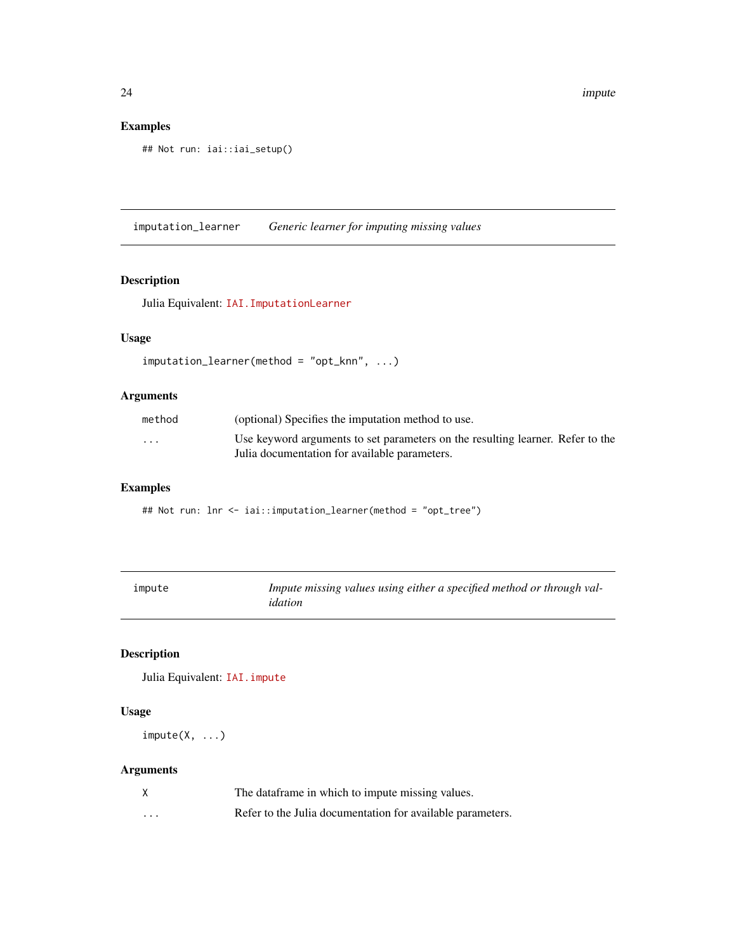## Examples

```
## Not run: iai::iai_setup()
```
imputation\_learner *Generic learner for imputing missing values*

## Description

Julia Equivalent: [IAI.ImputationLearner](https://docs.interpretable.ai/v2.0.0/OptImpute/reference/#IAI.ImputationLearner)

## Usage

```
imputation_learner(method = "opt_knn", ...)
```
## Arguments

| method                  | (optional) Specifies the imputation method to use.                                                                              |
|-------------------------|---------------------------------------------------------------------------------------------------------------------------------|
| $\cdot$ $\cdot$ $\cdot$ | Use keyword arguments to set parameters on the resulting learner. Refer to the<br>Julia documentation for available parameters. |

## Examples

## Not run: lnr <- iai::imputation\_learner(method = "opt\_tree")

| impute | Impute missing values using either a specified method or through val- |
|--------|-----------------------------------------------------------------------|
|        | idation                                                               |

## Description

Julia Equivalent: [IAI.impute](https://docs.interpretable.ai/v2.0.0/OptImpute/reference/#IAI.impute)

## Usage

 $impute(X, ...)$ 

## Arguments

|   | The dataframe in which to impute missing values.           |
|---|------------------------------------------------------------|
| . | Refer to the Julia documentation for available parameters. |

<span id="page-23-0"></span>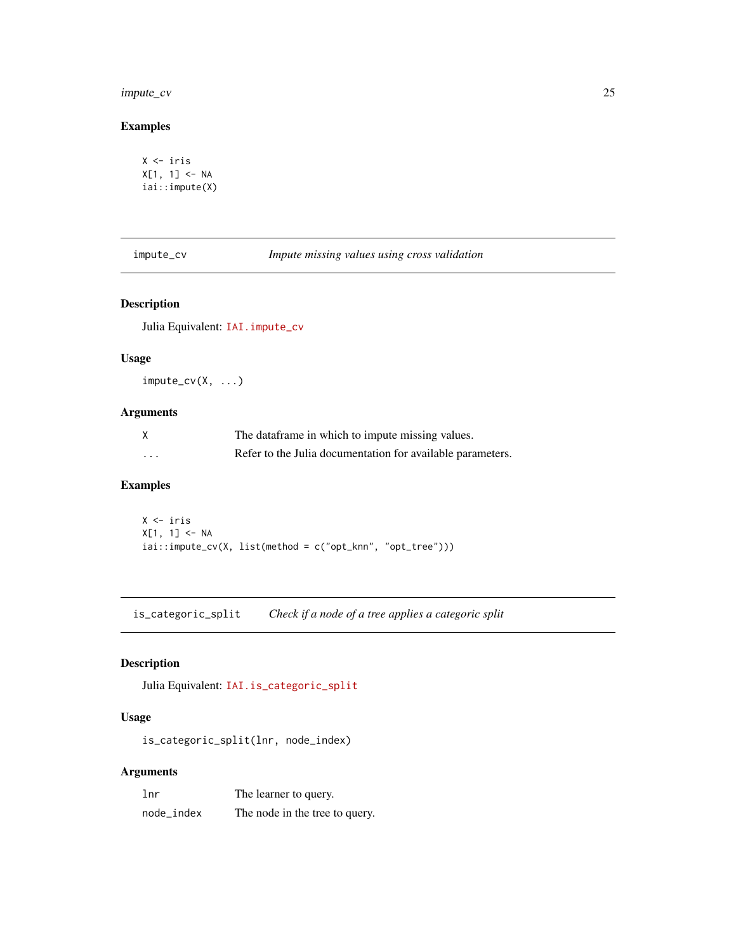## <span id="page-24-0"></span>impute\_cv 25

## Examples

```
X <- iris
X[1, 1] <- NA
iai::impute(X)
```
impute\_cv *Impute missing values using cross validation*

## Description

Julia Equivalent: [IAI.impute\\_cv](https://docs.interpretable.ai/v2.0.0/OptImpute/reference/#IAI.impute_cv)

### Usage

impute\_cv(X, ...)

## Arguments

|         | The dataframe in which to impute missing values.           |
|---------|------------------------------------------------------------|
| $\cdot$ | Refer to the Julia documentation for available parameters. |

## Examples

X <- iris X[1, 1] <- NA iai::impute\_cv(X, list(method = c("opt\_knn", "opt\_tree")))

is\_categoric\_split *Check if a node of a tree applies a categoric split*

## Description

Julia Equivalent: [IAI.is\\_categoric\\_split](https://docs.interpretable.ai/v2.0.0/IAITrees/reference/#IAI.is_categoric_split)

## Usage

is\_categoric\_split(lnr, node\_index)

## Arguments

| lnr        | The learner to query.          |
|------------|--------------------------------|
| node_index | The node in the tree to query. |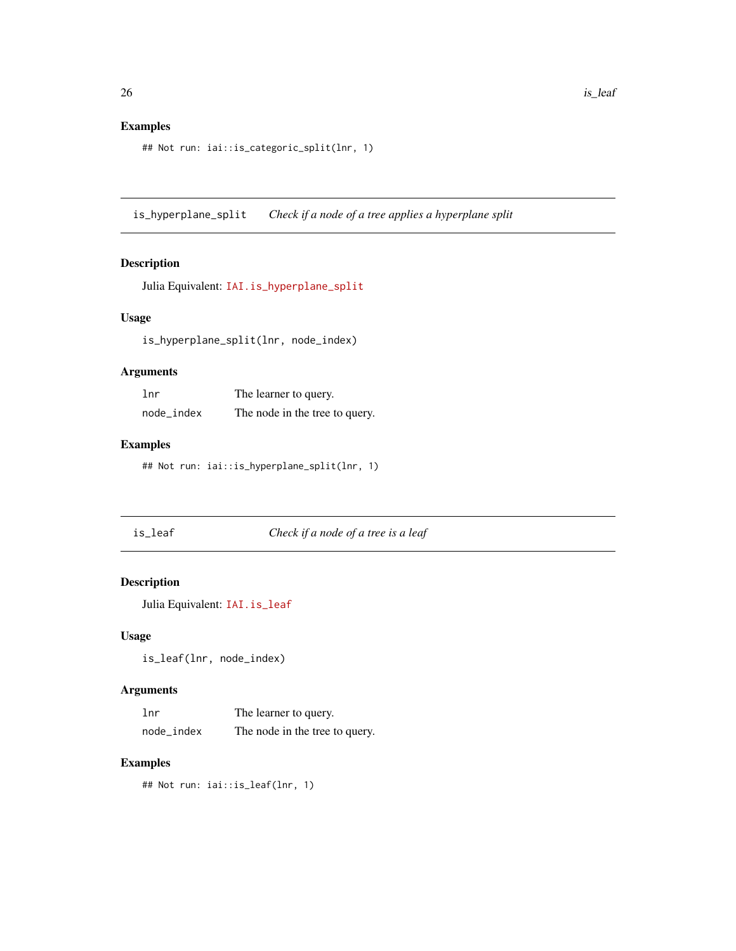## <span id="page-25-0"></span>Examples

```
## Not run: iai::is_categoric_split(lnr, 1)
```
is\_hyperplane\_split *Check if a node of a tree applies a hyperplane split*

## Description

Julia Equivalent: [IAI.is\\_hyperplane\\_split](https://docs.interpretable.ai/v2.0.0/IAITrees/reference/#IAI.is_hyperplane_split)

## Usage

is\_hyperplane\_split(lnr, node\_index)

## Arguments

| 1 <sub>nr</sub> | The learner to query.          |
|-----------------|--------------------------------|
| node_index      | The node in the tree to query. |

## Examples

## Not run: iai::is\_hyperplane\_split(lnr, 1)

is\_leaf *Check if a node of a tree is a leaf*

## Description

Julia Equivalent: [IAI.is\\_leaf](https://docs.interpretable.ai/v2.0.0/IAITrees/reference/#IAI.is_leaf)

### Usage

is\_leaf(lnr, node\_index)

#### Arguments

| lnr        | The learner to query.          |
|------------|--------------------------------|
| node_index | The node in the tree to query. |

## Examples

## Not run: iai::is\_leaf(lnr, 1)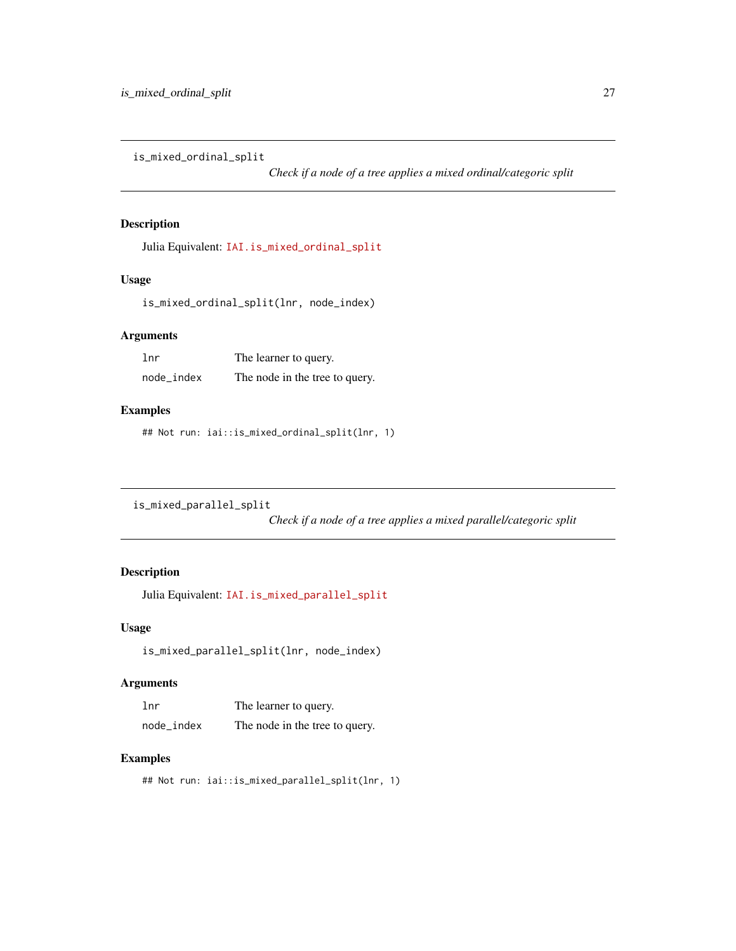<span id="page-26-0"></span>is\_mixed\_ordinal\_split

*Check if a node of a tree applies a mixed ordinal/categoric split*

## Description

Julia Equivalent: [IAI.is\\_mixed\\_ordinal\\_split](https://docs.interpretable.ai/v2.0.0/IAITrees/reference/#IAI.is_mixed_ordinal_split)

### Usage

is\_mixed\_ordinal\_split(lnr, node\_index)

## Arguments

| lnr        | The learner to query.          |
|------------|--------------------------------|
| node_index | The node in the tree to query. |

### Examples

## Not run: iai::is\_mixed\_ordinal\_split(lnr, 1)

is\_mixed\_parallel\_split

*Check if a node of a tree applies a mixed parallel/categoric split*

## Description

Julia Equivalent: [IAI.is\\_mixed\\_parallel\\_split](https://docs.interpretable.ai/v2.0.0/IAITrees/reference/#IAI.is_mixed_parallel_split)

## Usage

is\_mixed\_parallel\_split(lnr, node\_index)

## Arguments

| 1 <sub>nr</sub> | The learner to query.          |
|-----------------|--------------------------------|
| node index      | The node in the tree to query. |

## Examples

## Not run: iai::is\_mixed\_parallel\_split(lnr, 1)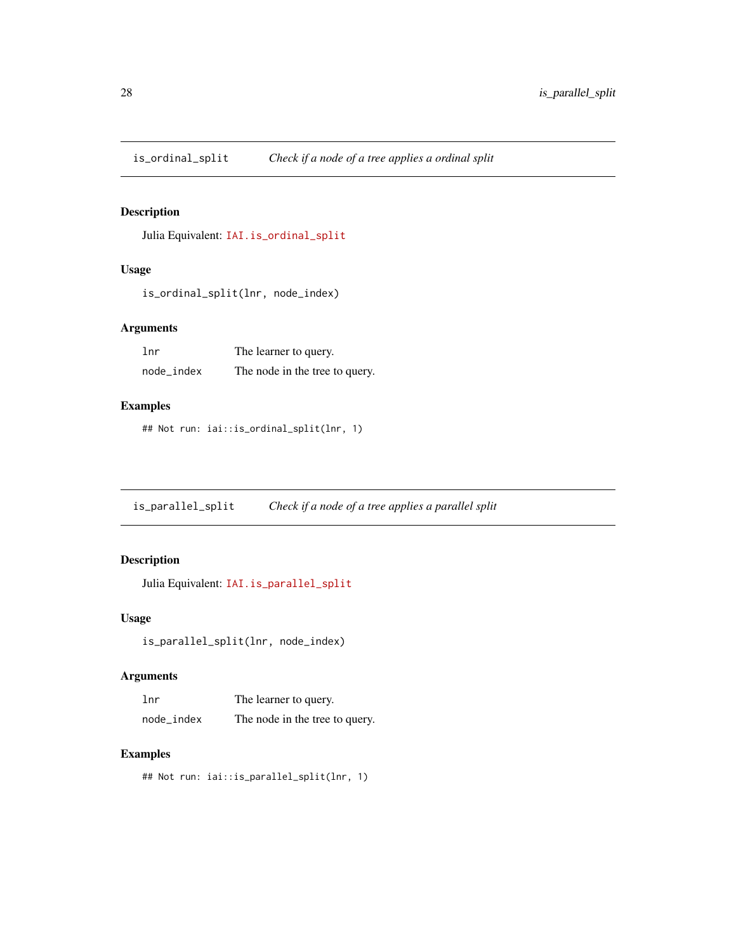<span id="page-27-0"></span>is\_ordinal\_split *Check if a node of a tree applies a ordinal split*

## Description

Julia Equivalent: [IAI.is\\_ordinal\\_split](https://docs.interpretable.ai/v2.0.0/IAITrees/reference/#IAI.is_ordinal_split)

## Usage

is\_ordinal\_split(lnr, node\_index)

## Arguments

| lnr        | The learner to query.          |
|------------|--------------------------------|
| node_index | The node in the tree to query. |

## Examples

## Not run: iai::is\_ordinal\_split(lnr, 1)

is\_parallel\_split *Check if a node of a tree applies a parallel split*

## Description

Julia Equivalent: [IAI.is\\_parallel\\_split](https://docs.interpretable.ai/v2.0.0/IAITrees/reference/#IAI.is_parallel_split)

## Usage

```
is_parallel_split(lnr, node_index)
```
#### Arguments

| 1 <sub>nr</sub> | The learner to query.          |
|-----------------|--------------------------------|
| node_index      | The node in the tree to query. |

#### Examples

```
## Not run: iai::is_parallel_split(lnr, 1)
```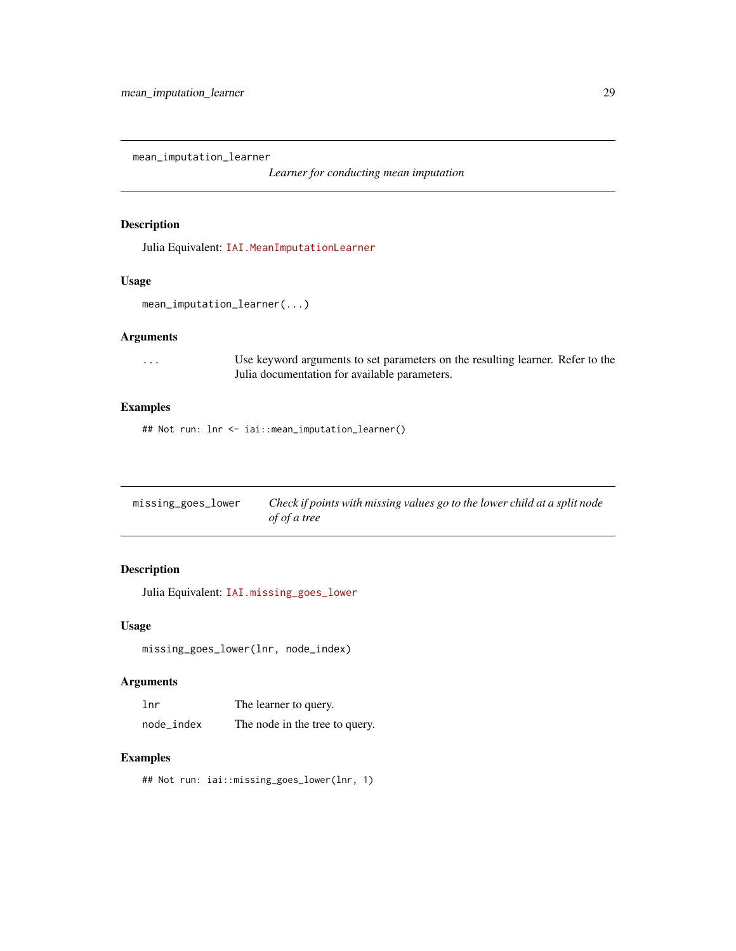<span id="page-28-0"></span>mean\_imputation\_learner

*Learner for conducting mean imputation*

### Description

Julia Equivalent: [IAI.MeanImputationLearner](https://docs.interpretable.ai/v2.0.0/OptImpute/reference/#IAI.MeanImputationLearner)

#### Usage

mean\_imputation\_learner(...)

## Arguments

... Use keyword arguments to set parameters on the resulting learner. Refer to the Julia documentation for available parameters.

## Examples

## Not run: lnr <- iai::mean\_imputation\_learner()

| missing_goes_lower | Check if points with missing values go to the lower child at a split node |
|--------------------|---------------------------------------------------------------------------|
|                    | of of a tree                                                              |

## Description

Julia Equivalent: [IAI.missing\\_goes\\_lower](https://docs.interpretable.ai/v2.0.0/IAITrees/reference/#IAI.missing_goes_lower)

#### Usage

missing\_goes\_lower(lnr, node\_index)

#### Arguments

| 1 <sub>nr</sub> | The learner to query.          |
|-----------------|--------------------------------|
| node_index      | The node in the tree to query. |

#### Examples

## Not run: iai::missing\_goes\_lower(lnr, 1)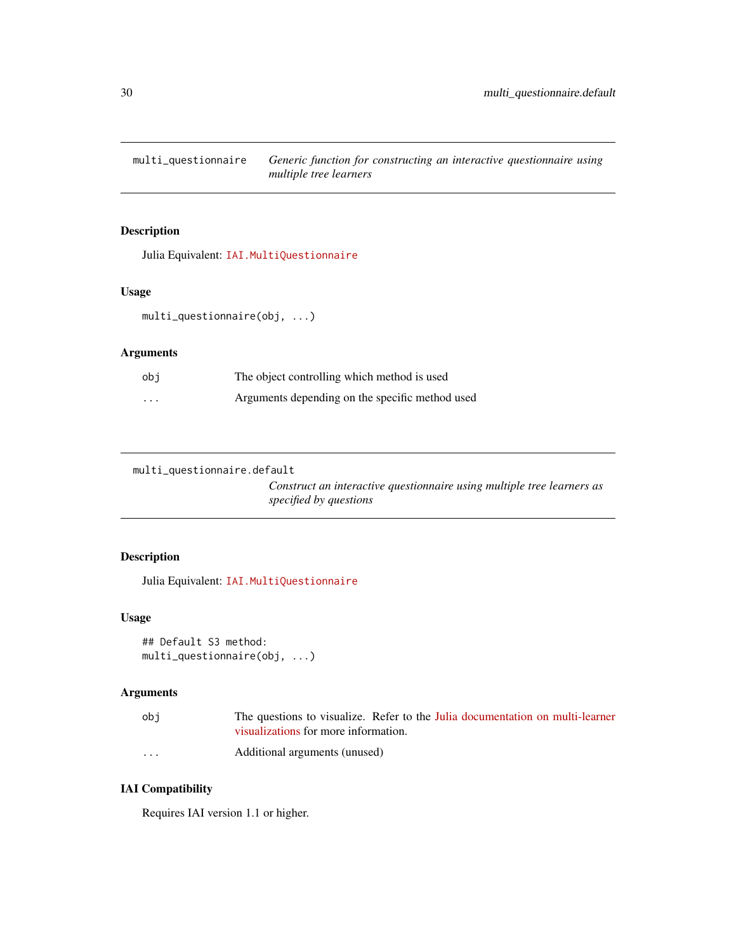<span id="page-29-0"></span>multi\_questionnaire *Generic function for constructing an interactive questionnaire using multiple tree learners*

## Description

Julia Equivalent: [IAI.MultiQuestionnaire](https://docs.interpretable.ai/v2.0.0/IAITrees/reference/#IAI.MultiQuestionnaire)

## Usage

multi\_questionnaire(obj, ...)

## Arguments

| obi                  | The object controlling which method is used     |
|----------------------|-------------------------------------------------|
| $\ddot{\phantom{0}}$ | Arguments depending on the specific method used |

multi\_questionnaire.default

*Construct an interactive questionnaire using multiple tree learners as specified by questions*

#### Description

Julia Equivalent: [IAI.MultiQuestionnaire](https://docs.interpretable.ai/v2.0.0/IAITrees/reference/#IAI.MultiQuestionnaire)

## Usage

```
## Default S3 method:
multi_questionnaire(obj, ...)
```
## Arguments

| obi                  | The questions to visualize. Refer to the Julia documentation on multi-learner |
|----------------------|-------------------------------------------------------------------------------|
|                      | visualizations for more information.                                          |
| $\ddot{\phantom{0}}$ | Additional arguments (unused)                                                 |

## IAI Compatibility

Requires IAI version 1.1 or higher.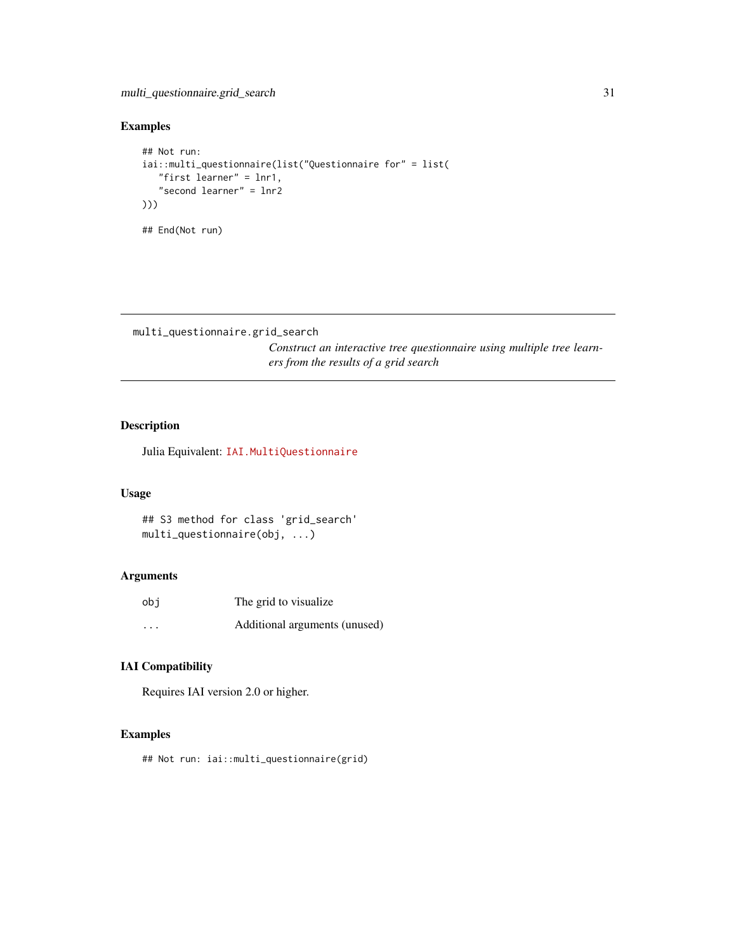## <span id="page-30-0"></span>Examples

```
## Not run:
iai::multi_questionnaire(list("Questionnaire for" = list(
   "first learner" = lnr1,
   "second learner" = lnr2
)))
## End(Not run)
```
multi\_questionnaire.grid\_search

*Construct an interactive tree questionnaire using multiple tree learners from the results of a grid search*

## Description

Julia Equivalent: [IAI.MultiQuestionnaire](https://docs.interpretable.ai/v2.0.0/IAITrees/reference/#IAI.MultiQuestionnaire)

### Usage

```
## S3 method for class 'grid_search'
multi_questionnaire(obj, ...)
```
## Arguments

| obi      | The grid to visualize.        |
|----------|-------------------------------|
| $\cdots$ | Additional arguments (unused) |

## IAI Compatibility

Requires IAI version 2.0 or higher.

### Examples

## Not run: iai::multi\_questionnaire(grid)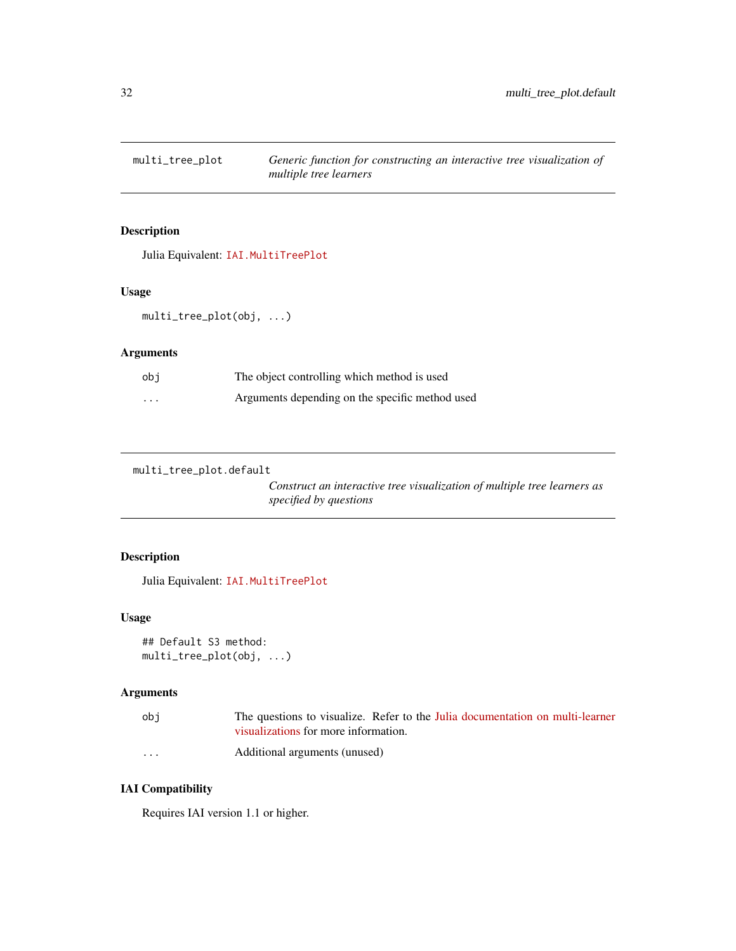<span id="page-31-0"></span>

Julia Equivalent: [IAI.MultiTreePlot](https://docs.interpretable.ai/v2.0.0/IAITrees/reference/#IAI.MultiTreePlot)

## Usage

multi\_tree\_plot(obj, ...)

## Arguments

| obi      | The object controlling which method is used     |
|----------|-------------------------------------------------|
| $\cdots$ | Arguments depending on the specific method used |

multi\_tree\_plot.default

*Construct an interactive tree visualization of multiple tree learners as specified by questions*

## Description

Julia Equivalent: [IAI.MultiTreePlot](https://docs.interpretable.ai/v2.0.0/IAITrees/reference/#IAI.MultiTreePlot)

## Usage

```
## Default S3 method:
multi_tree_plot(obj, ...)
```
## Arguments

| ob i                 | The questions to visualize. Refer to the Julia documentation on multi-learner |
|----------------------|-------------------------------------------------------------------------------|
|                      | visualizations for more information.                                          |
| $\ddot{\phantom{0}}$ | Additional arguments (unused)                                                 |

## IAI Compatibility

Requires IAI version 1.1 or higher.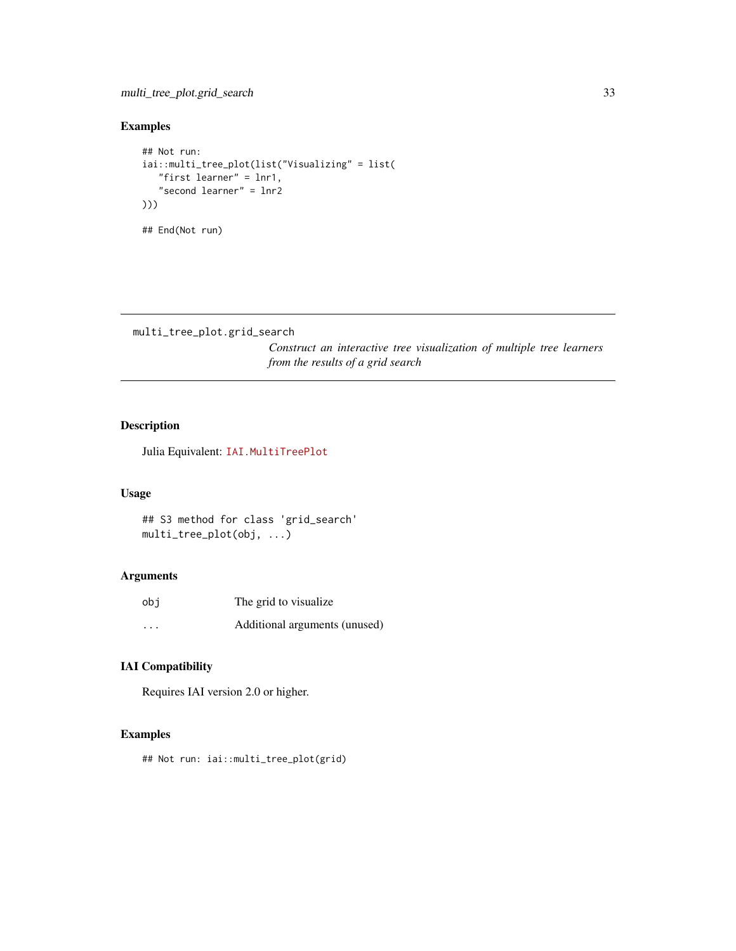## <span id="page-32-0"></span>Examples

```
## Not run:
iai::multi_tree_plot(list("Visualizing" = list(
   "first learner" = lnr1,
   "second learner" = lnr2
)))
## End(Not run)
```

```
multi_tree_plot.grid_search
```
*Construct an interactive tree visualization of multiple tree learners from the results of a grid search*

## Description

Julia Equivalent: [IAI.MultiTreePlot](https://docs.interpretable.ai/v2.0.0/IAITrees/reference/#IAI.MultiTreePlot)

### Usage

```
## S3 method for class 'grid_search'
multi_tree_plot(obj, ...)
```
## Arguments

| obi      | The grid to visualize.        |
|----------|-------------------------------|
| $\cdots$ | Additional arguments (unused) |

## IAI Compatibility

Requires IAI version 2.0 or higher.

### Examples

## Not run: iai::multi\_tree\_plot(grid)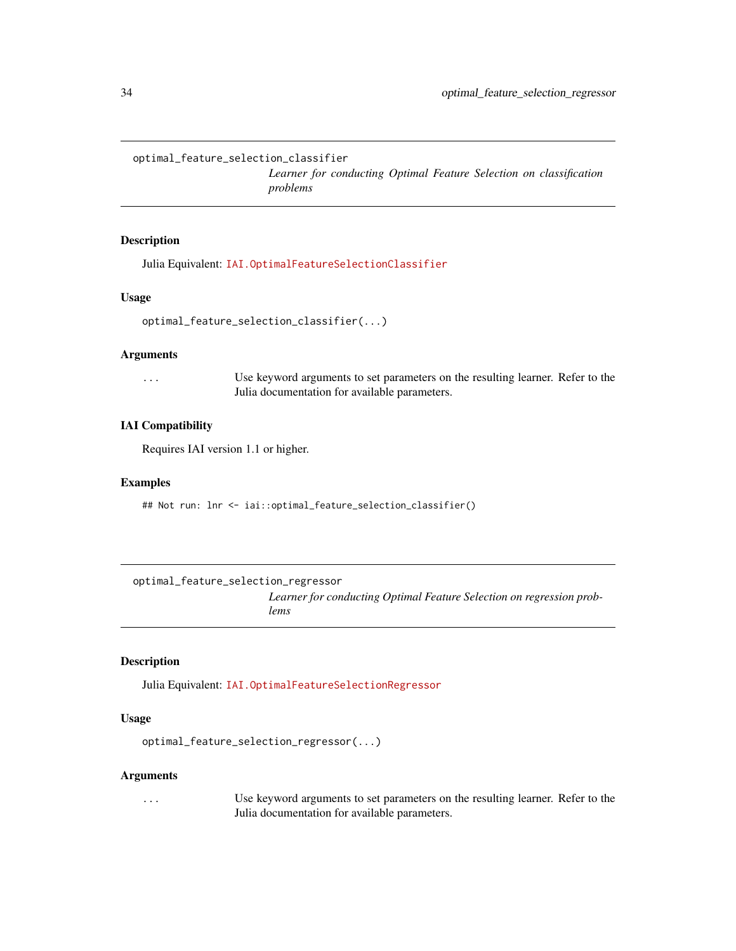<span id="page-33-0"></span>optimal\_feature\_selection\_classifier

*Learner for conducting Optimal Feature Selection on classification problems*

## Description

Julia Equivalent: [IAI.OptimalFeatureSelectionClassifier](https://docs.interpretable.ai/v2.0.0/OptimalFeatureSelection/reference/#IAI.OptimalFeatureSelectionClassifier)

#### Usage

```
optimal_feature_selection_classifier(...)
```
#### Arguments

... Use keyword arguments to set parameters on the resulting learner. Refer to the Julia documentation for available parameters.

## IAI Compatibility

Requires IAI version 1.1 or higher.

#### Examples

## Not run: lnr <- iai::optimal\_feature\_selection\_classifier()

optimal\_feature\_selection\_regressor

*Learner for conducting Optimal Feature Selection on regression problems*

#### Description

Julia Equivalent: [IAI.OptimalFeatureSelectionRegressor](https://docs.interpretable.ai/v2.0.0/OptimalFeatureSelection/reference/#IAI.OptimalFeatureSelectionRegressor)

#### Usage

```
optimal_feature_selection_regressor(...)
```
#### Arguments

... Use keyword arguments to set parameters on the resulting learner. Refer to the Julia documentation for available parameters.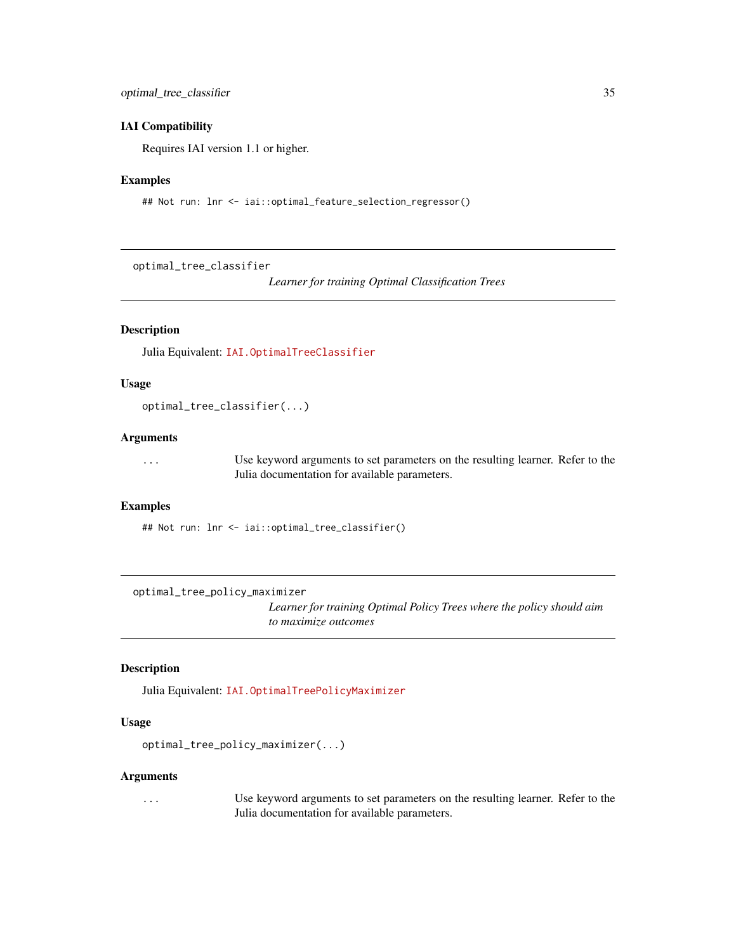#### <span id="page-34-0"></span>IAI Compatibility

Requires IAI version 1.1 or higher.

#### Examples

```
## Not run: lnr <- iai::optimal_feature_selection_regressor()
```
optimal\_tree\_classifier

*Learner for training Optimal Classification Trees*

## Description

Julia Equivalent: [IAI.OptimalTreeClassifier](https://docs.interpretable.ai/v2.0.0/OptimalTrees/reference/#IAI.OptimalTreeClassifier)

### Usage

optimal\_tree\_classifier(...)

#### Arguments

... Use keyword arguments to set parameters on the resulting learner. Refer to the Julia documentation for available parameters.

### Examples

## Not run: lnr <- iai::optimal\_tree\_classifier()

optimal\_tree\_policy\_maximizer

*Learner for training Optimal Policy Trees where the policy should aim to maximize outcomes*

## Description

Julia Equivalent: [IAI.OptimalTreePolicyMaximizer](https://docs.interpretable.ai/v2.0.0/OptimalTrees/reference/#IAI.OptimalTreePolicyMaximizer)

#### Usage

```
optimal_tree_policy_maximizer(...)
```
#### Arguments

... Use keyword arguments to set parameters on the resulting learner. Refer to the Julia documentation for available parameters.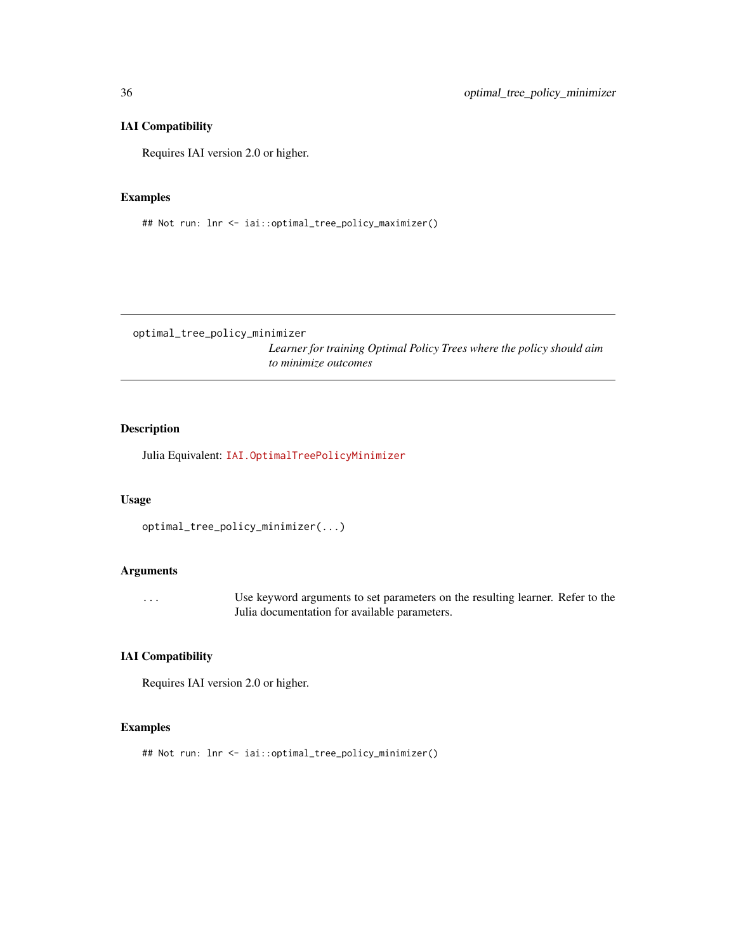## IAI Compatibility

Requires IAI version 2.0 or higher.

## Examples

## Not run: lnr <- iai::optimal\_tree\_policy\_maximizer()

optimal\_tree\_policy\_minimizer

*Learner for training Optimal Policy Trees where the policy should aim to minimize outcomes*

## Description

Julia Equivalent: [IAI.OptimalTreePolicyMinimizer](https://docs.interpretable.ai/v2.0.0/OptimalTrees/reference/#IAI.OptimalTreePolicyMinimizer)

#### Usage

```
optimal_tree_policy_minimizer(...)
```
### Arguments

... Use keyword arguments to set parameters on the resulting learner. Refer to the Julia documentation for available parameters.

### IAI Compatibility

Requires IAI version 2.0 or higher.

## Examples

## Not run: lnr <- iai::optimal\_tree\_policy\_minimizer()

<span id="page-35-0"></span>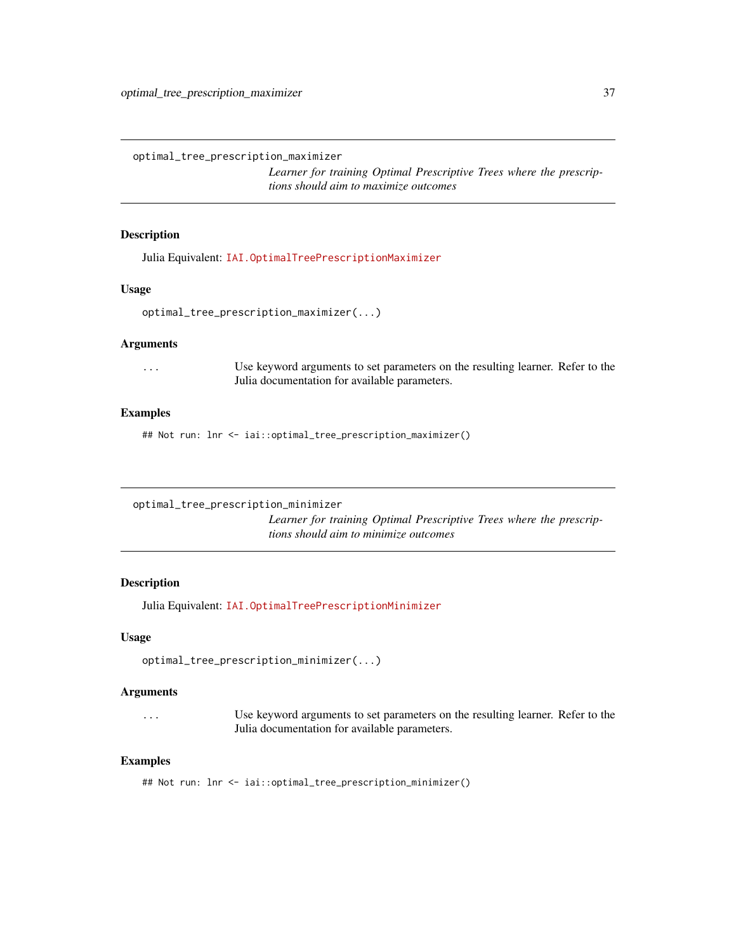<span id="page-36-0"></span>optimal\_tree\_prescription\_maximizer

*Learner for training Optimal Prescriptive Trees where the prescriptions should aim to maximize outcomes*

#### Description

Julia Equivalent: [IAI.OptimalTreePrescriptionMaximizer](https://docs.interpretable.ai/v2.0.0/OptimalTrees/reference/#IAI.OptimalTreePrescriptionMaximizer)

### Usage

```
optimal_tree_prescription_maximizer(...)
```
#### Arguments

... Use keyword arguments to set parameters on the resulting learner. Refer to the Julia documentation for available parameters.

#### Examples

## Not run: lnr <- iai::optimal\_tree\_prescription\_maximizer()

optimal\_tree\_prescription\_minimizer

*Learner for training Optimal Prescriptive Trees where the prescriptions should aim to minimize outcomes*

#### Description

Julia Equivalent: [IAI.OptimalTreePrescriptionMinimizer](https://docs.interpretable.ai/v2.0.0/OptimalTrees/reference/#IAI.OptimalTreePrescriptionMinimizer)

#### Usage

```
optimal_tree_prescription_minimizer(...)
```
## Arguments

... Use keyword arguments to set parameters on the resulting learner. Refer to the Julia documentation for available parameters.

#### Examples

## Not run: lnr <- iai::optimal\_tree\_prescription\_minimizer()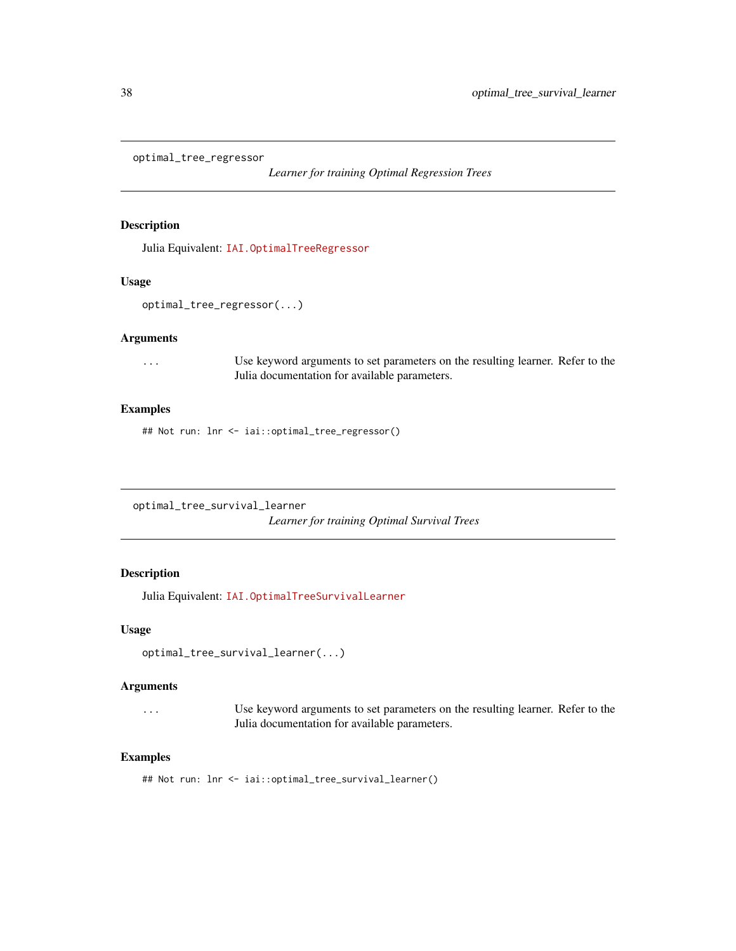<span id="page-37-0"></span>optimal\_tree\_regressor

*Learner for training Optimal Regression Trees*

## Description

Julia Equivalent: [IAI.OptimalTreeRegressor](https://docs.interpretable.ai/v2.0.0/OptimalTrees/reference/#IAI.OptimalTreeRegressor)

#### Usage

optimal\_tree\_regressor(...)

#### Arguments

... Use keyword arguments to set parameters on the resulting learner. Refer to the Julia documentation for available parameters.

## Examples

## Not run: lnr <- iai::optimal\_tree\_regressor()

<span id="page-37-1"></span>optimal\_tree\_survival\_learner

*Learner for training Optimal Survival Trees*

## Description

Julia Equivalent: [IAI.OptimalTreeSurvivalLearner](https://docs.interpretable.ai/v2.0.0/OptimalTrees/reference/#IAI.OptimalTreeSurvivalLearner)

#### Usage

optimal\_tree\_survival\_learner(...)

## Arguments

... Use keyword arguments to set parameters on the resulting learner. Refer to the Julia documentation for available parameters.

### Examples

## Not run: lnr <- iai::optimal\_tree\_survival\_learner()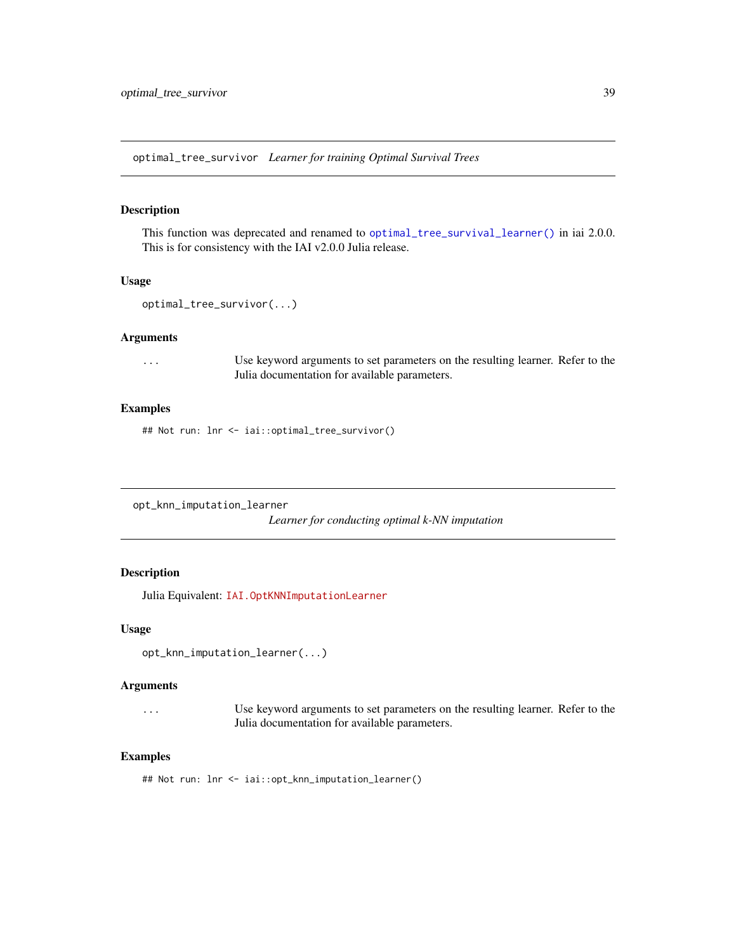<span id="page-38-0"></span>optimal\_tree\_survivor *Learner for training Optimal Survival Trees*

#### Description

This function was deprecated and renamed to [optimal\\_tree\\_survival\\_learner\(\)](#page-37-1) in iai 2.0.0. This is for consistency with the IAI v2.0.0 Julia release.

#### Usage

```
optimal_tree_survivor(...)
```
#### Arguments

... Use keyword arguments to set parameters on the resulting learner. Refer to the Julia documentation for available parameters.

### Examples

## Not run: lnr <- iai::optimal\_tree\_survivor()

opt\_knn\_imputation\_learner

*Learner for conducting optimal k-NN imputation*

#### Description

Julia Equivalent: [IAI.OptKNNImputationLearner](https://docs.interpretable.ai/v2.0.0/OptImpute/reference/#IAI.OptKNNImputationLearner)

#### Usage

```
opt_knn_imputation_learner(...)
```
## Arguments

... Use keyword arguments to set parameters on the resulting learner. Refer to the Julia documentation for available parameters.

#### Examples

## Not run: lnr <- iai::opt\_knn\_imputation\_learner()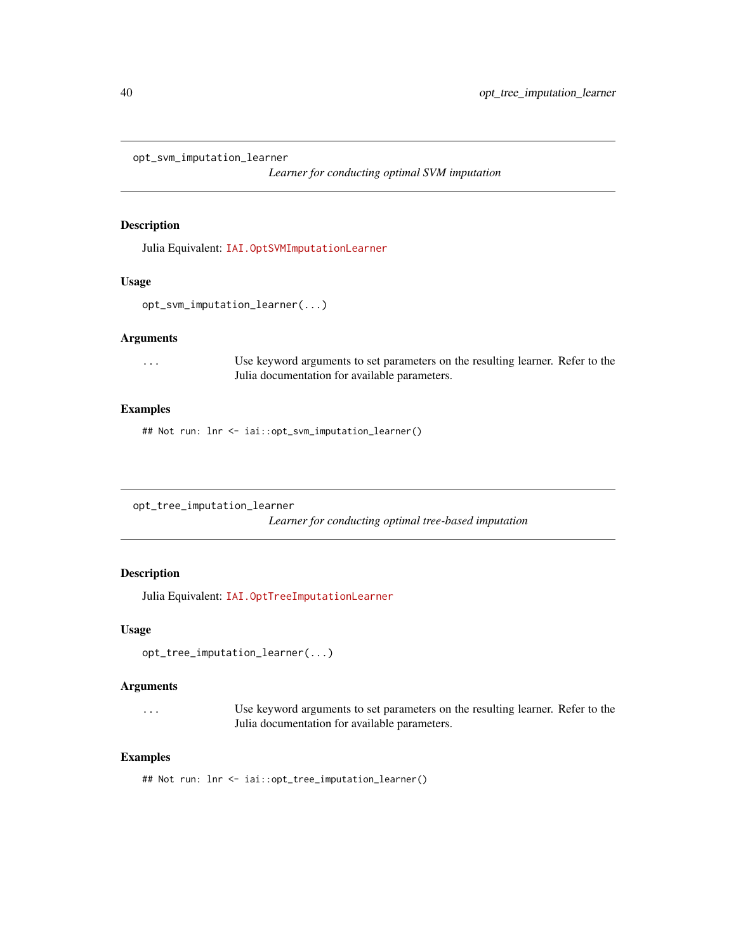<span id="page-39-0"></span>opt\_svm\_imputation\_learner

*Learner for conducting optimal SVM imputation*

## Description

Julia Equivalent: [IAI.OptSVMImputationLearner](https://docs.interpretable.ai/v2.0.0/OptImpute/reference/#IAI.OptSVMImputationLearner)

#### Usage

opt\_svm\_imputation\_learner(...)

#### Arguments

... Use keyword arguments to set parameters on the resulting learner. Refer to the Julia documentation for available parameters.

## Examples

## Not run: lnr <- iai::opt\_svm\_imputation\_learner()

opt\_tree\_imputation\_learner

*Learner for conducting optimal tree-based imputation*

## Description

Julia Equivalent: [IAI.OptTreeImputationLearner](https://docs.interpretable.ai/v2.0.0/OptImpute/reference/#IAI.OptTreeImputationLearner)

#### Usage

opt\_tree\_imputation\_learner(...)

### Arguments

... Use keyword arguments to set parameters on the resulting learner. Refer to the Julia documentation for available parameters.

#### Examples

## Not run: lnr <- iai::opt\_tree\_imputation\_learner()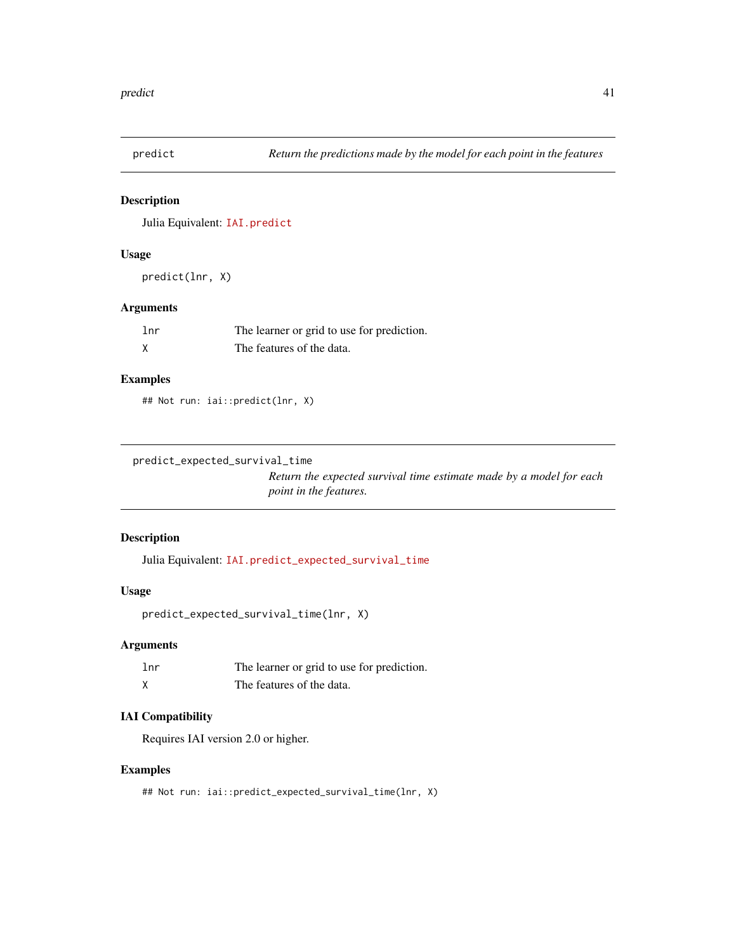<span id="page-40-0"></span>

Julia Equivalent: [IAI.predict](https://docs.interpretable.ai/v2.0.0/IAIBase/reference/#IAI.predict)

#### Usage

predict(lnr, X)

## Arguments

| lnr | The learner or grid to use for prediction. |
|-----|--------------------------------------------|
|     | The features of the data.                  |

## Examples

## Not run: iai::predict(lnr, X)

```
predict_expected_survival_time
```
*Return the expected survival time estimate made by a model for each point in the features.*

## Description

Julia Equivalent: [IAI.predict\\_expected\\_survival\\_time](https://docs.interpretable.ai/v2.0.0/IAIBase/reference/#IAI.predict_expected_survival_time)

## Usage

```
predict_expected_survival_time(lnr, X)
```
## Arguments

| lnr | The learner or grid to use for prediction. |
|-----|--------------------------------------------|
|     | The features of the data.                  |

## IAI Compatibility

Requires IAI version 2.0 or higher.

## Examples

## Not run: iai::predict\_expected\_survival\_time(lnr, X)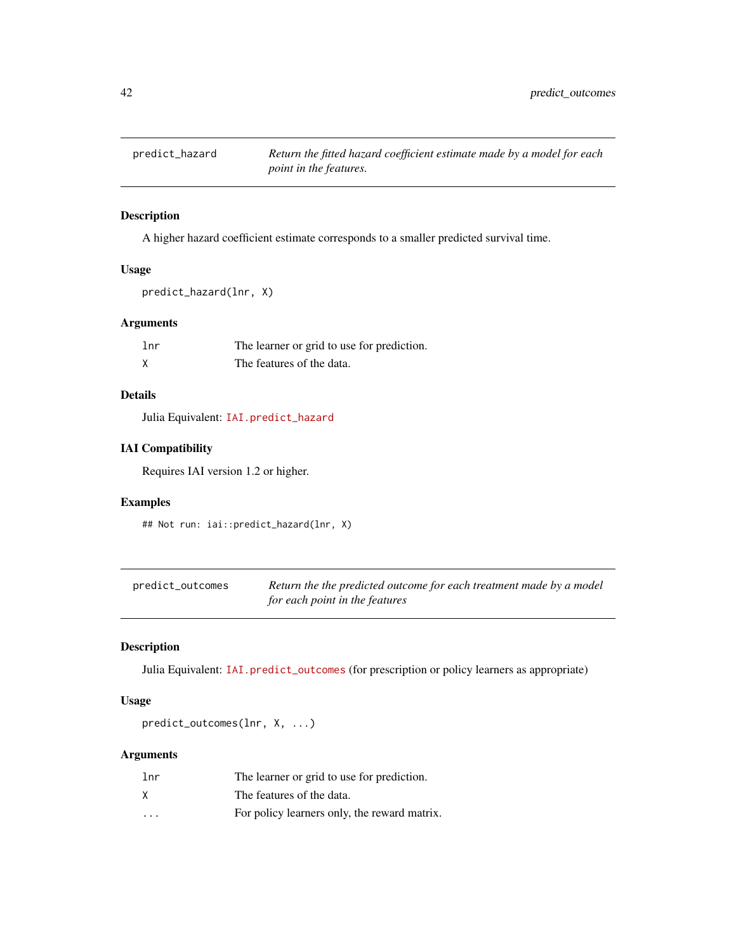<span id="page-41-0"></span>

A higher hazard coefficient estimate corresponds to a smaller predicted survival time.

## Usage

```
predict_hazard(lnr, X)
```
## Arguments

| 1 <sub>nr</sub> | The learner or grid to use for prediction. |
|-----------------|--------------------------------------------|
|                 | The features of the data.                  |

## Details

Julia Equivalent: [IAI.predict\\_hazard](https://docs.interpretable.ai/v2.0.0/IAIBase/reference/#IAI.predict_hazard)

## IAI Compatibility

Requires IAI version 1.2 or higher.

## Examples

## Not run: iai::predict\_hazard(lnr, X)

| predict_outcomes | Return the the predicted outcome for each treatment made by a model |
|------------------|---------------------------------------------------------------------|
|                  | for each point in the features                                      |

## Description

Julia Equivalent: [IAI.predict\\_outcomes](https://docs.interpretable.ai/v2.0.0/IAIBase/reference/#IAIBase-API-Reference-1) (for prescription or policy learners as appropriate)

## Usage

predict\_outcomes(lnr, X, ...)

## Arguments

| lnr                     | The learner or grid to use for prediction.   |
|-------------------------|----------------------------------------------|
|                         | The features of the data.                    |
| $\cdot$ $\cdot$ $\cdot$ | For policy learners only, the reward matrix. |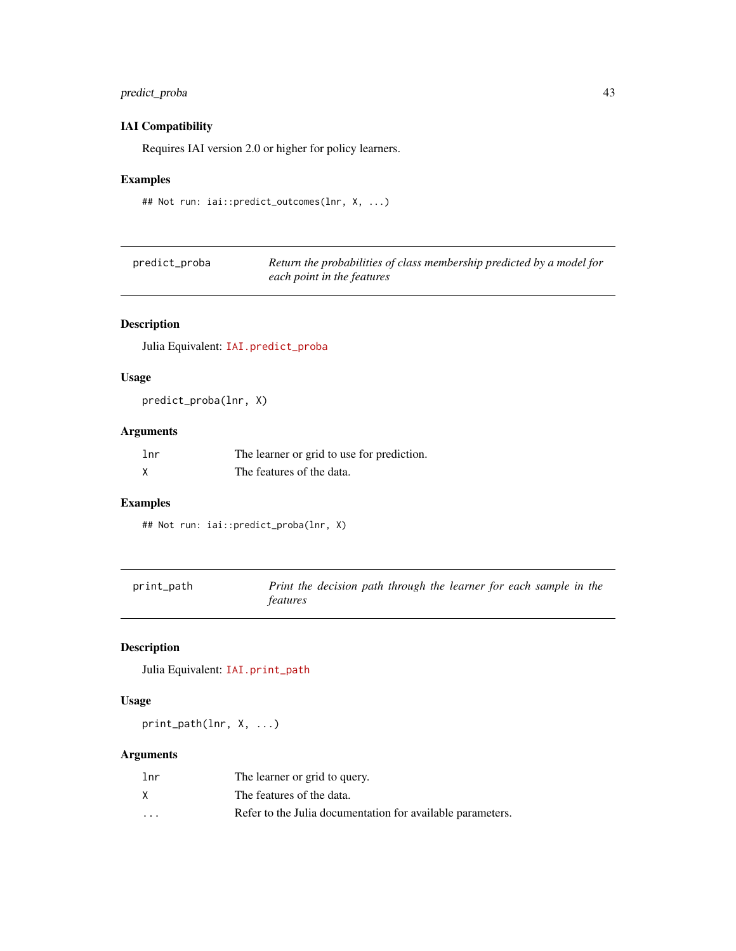## <span id="page-42-0"></span>predict\_proba 43

## IAI Compatibility

Requires IAI version 2.0 or higher for policy learners.

## Examples

```
## Not run: iai::predict_outcomes(lnr, X, ...)
```

| predict_proba | Return the probabilities of class membership predicted by a model for |
|---------------|-----------------------------------------------------------------------|
|               | each point in the features                                            |

## Description

Julia Equivalent: [IAI.predict\\_proba](https://docs.interpretable.ai/v2.0.0/IAIBase/reference/#IAI.predict_proba)

## Usage

predict\_proba(lnr, X)

## Arguments

| lnr | The learner or grid to use for prediction. |
|-----|--------------------------------------------|
|     | The features of the data.                  |

## Examples

## Not run: iai::predict\_proba(lnr, X)

| print_path | Print the decision path through the learner for each sample in the |
|------------|--------------------------------------------------------------------|
|            | <i>features</i>                                                    |

## Description

Julia Equivalent: [IAI.print\\_path](https://docs.interpretable.ai/v2.0.0/IAITrees/reference/#IAI.print_path)

### Usage

print\_path(lnr, X, ...)

## Arguments

| 1 <sub>nr</sub> | The learner or grid to query.                              |
|-----------------|------------------------------------------------------------|
| X               | The features of the data.                                  |
| $\cdot$         | Refer to the Julia documentation for available parameters. |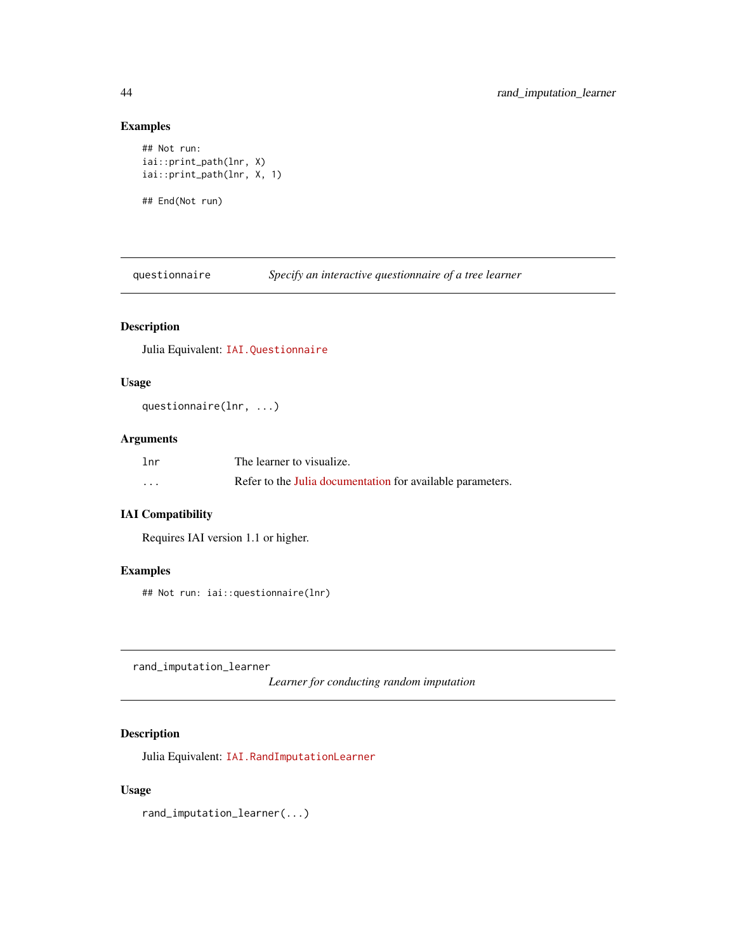## Examples

```
## Not run:
iai::print_path(lnr, X)
iai::print_path(lnr, X, 1)
## End(Not run)
```
questionnaire *Specify an interactive questionnaire of a tree learner*

## Description

Julia Equivalent: [IAI.Questionnaire](https://docs.interpretable.ai/v2.0.0/IAITrees/reference/#IAI.Questionnaire)

## Usage

questionnaire(lnr, ...)

## Arguments

| 1 <sub>nr</sub> | The learner to visualize.                                  |
|-----------------|------------------------------------------------------------|
| .               | Refer to the Julia documentation for available parameters. |

## IAI Compatibility

Requires IAI version 1.1 or higher.

## Examples

## Not run: iai::questionnaire(lnr)

rand\_imputation\_learner

*Learner for conducting random imputation*

## Description

Julia Equivalent: [IAI.RandImputationLearner](https://docs.interpretable.ai/v2.0.0/OptImpute/reference/#IAI.RandImputationLearner)

## Usage

rand\_imputation\_learner(...)

<span id="page-43-0"></span>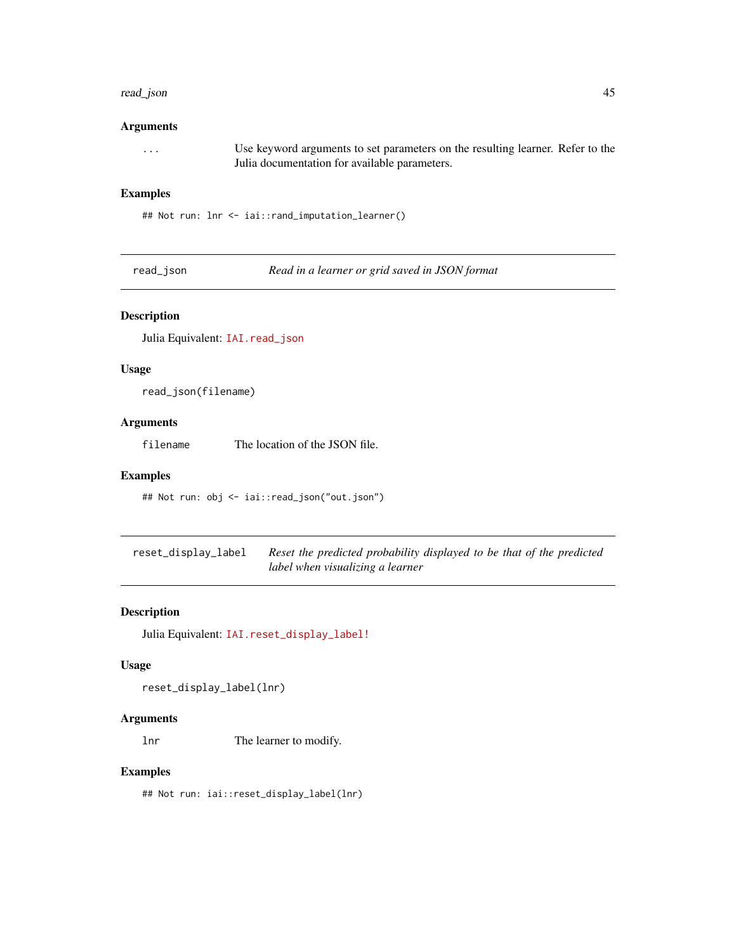#### <span id="page-44-0"></span>read\_json 45

## Arguments

... Use keyword arguments to set parameters on the resulting learner. Refer to the Julia documentation for available parameters.

## Examples

## Not run: lnr <- iai::rand\_imputation\_learner()

read\_json *Read in a learner or grid saved in JSON format*

## Description

Julia Equivalent: [IAI.read\\_json](https://docs.interpretable.ai/v2.0.0/IAIBase/reference/#IAI.read_json)

## Usage

read\_json(filename)

## Arguments

filename The location of the JSON file.

## Examples

## Not run: obj <- iai::read\_json("out.json")

| reset_display_label | Reset the predicted probability displayed to be that of the predicted |
|---------------------|-----------------------------------------------------------------------|
|                     | label when visualizing a learner                                      |

#### Description

Julia Equivalent: [IAI.reset\\_display\\_label!](https://docs.interpretable.ai/v2.0.0/IAITrees/reference/#IAI.reset_display_label!)

### Usage

reset\_display\_label(lnr)

#### Arguments

lnr The learner to modify.

## Examples

## Not run: iai::reset\_display\_label(lnr)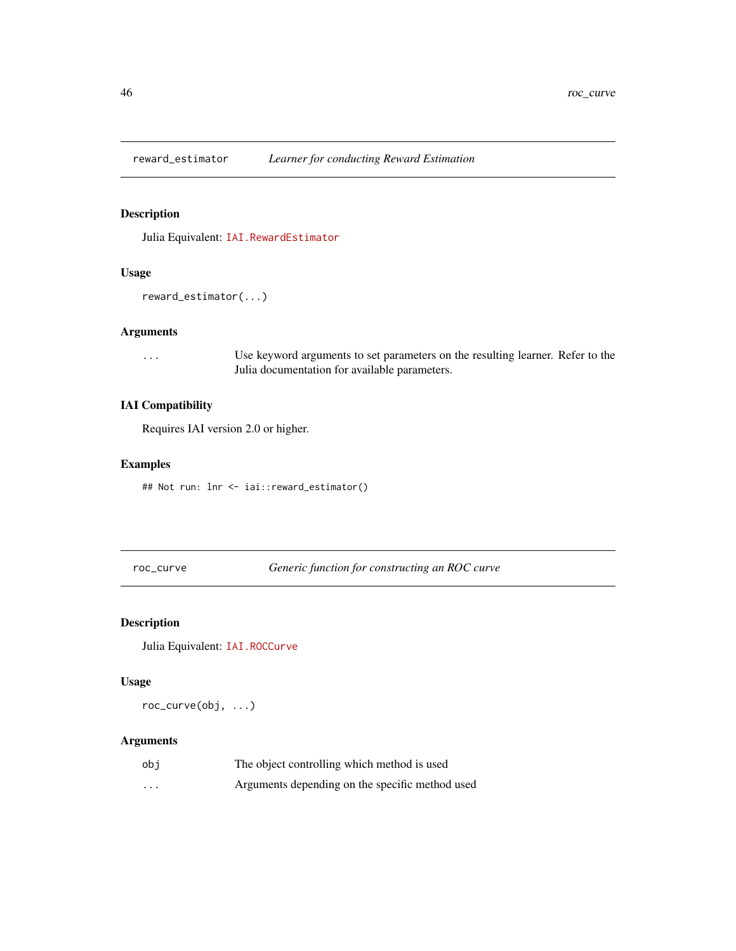<span id="page-45-0"></span>

Julia Equivalent: [IAI.RewardEstimator](https://docs.interpretable.ai/v2.0.0/RewardEstimation/reference/#IAI.RewardEstimator)

## Usage

```
reward_estimator(...)
```
## Arguments

... Use keyword arguments to set parameters on the resulting learner. Refer to the Julia documentation for available parameters.

## IAI Compatibility

Requires IAI version 2.0 or higher.

## Examples

## Not run: lnr <- iai::reward\_estimator()

roc\_curve *Generic function for constructing an ROC curve*

## Description

Julia Equivalent: [IAI.ROCCurve](https://docs.interpretable.ai/v2.0.0/IAIBase/reference/#IAI.ROCCurve)

### Usage

roc\_curve(obj, ...)

## Arguments

| obi                     | The object controlling which method is used     |
|-------------------------|-------------------------------------------------|
| $\cdot$ $\cdot$ $\cdot$ | Arguments depending on the specific method used |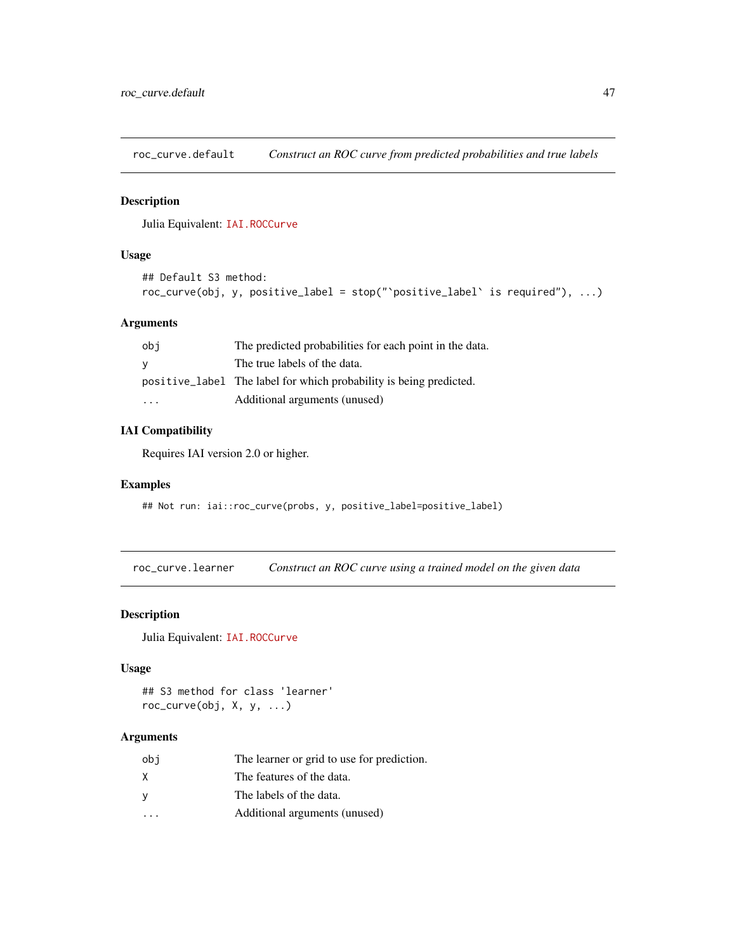<span id="page-46-0"></span>roc\_curve.default *Construct an ROC curve from predicted probabilities and true labels*

## Description

Julia Equivalent: [IAI.ROCCurve](https://docs.interpretable.ai/v2.0.0/IAIBase/reference/#IAI.ROCCurve)

#### Usage

```
## Default S3 method:
roc_curve(obj, y, positive_label = stop("`positive_label` is required"), ...)
```
## Arguments

| obi | The predicted probabilities for each point in the data.            |
|-----|--------------------------------------------------------------------|
| - V | The true labels of the data.                                       |
|     | positive_label The label for which probability is being predicted. |
| .   | Additional arguments (unused)                                      |

## IAI Compatibility

Requires IAI version 2.0 or higher.

#### Examples

## Not run: iai::roc\_curve(probs, y, positive\_label=positive\_label)

roc\_curve.learner *Construct an ROC curve using a trained model on the given data*

### Description

Julia Equivalent: [IAI.ROCCurve](https://docs.interpretable.ai/v2.0.0/IAIBase/reference/#IAI.ROCCurve)

## Usage

```
## S3 method for class 'learner'
roc_curve(obj, X, y, ...)
```
## Arguments

| obi                  | The learner or grid to use for prediction. |
|----------------------|--------------------------------------------|
| X                    | The features of the data.                  |
| У                    | The labels of the data.                    |
| $\sim$ $\sim$ $\sim$ | Additional arguments (unused)              |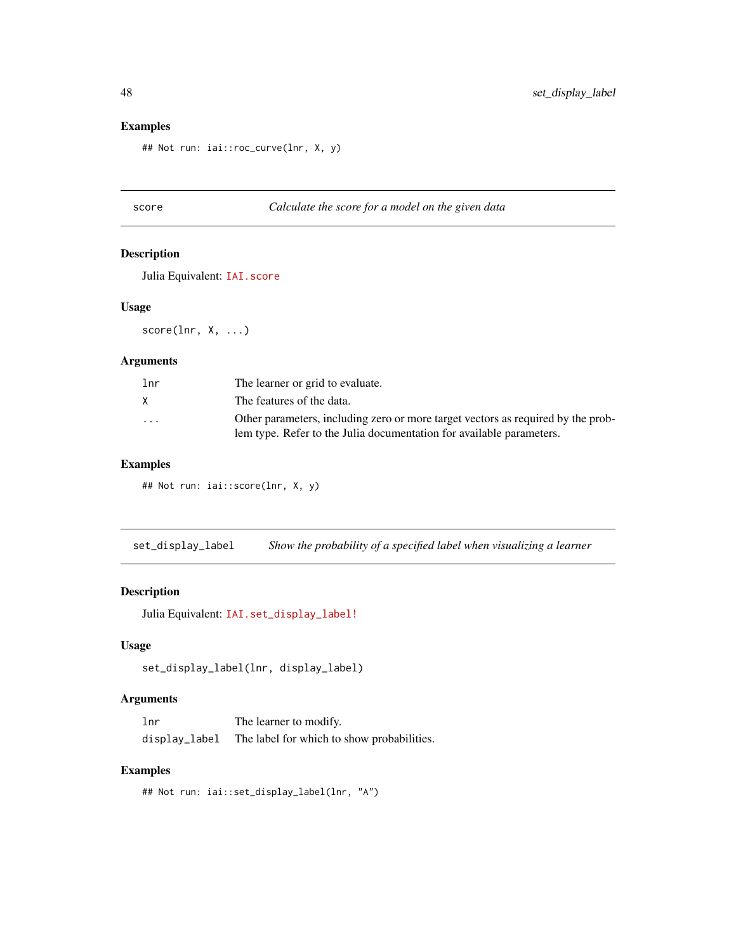## Examples

## Not run: iai::roc\_curve(lnr, X, y)

## score *Calculate the score for a model on the given data*

#### Description

Julia Equivalent: [IAI.score](https://docs.interpretable.ai/v2.0.0/IAIBase/reference/#IAI.score)

#### Usage

score(lnr, X, ...)

## Arguments

| 1 <sub>nr</sub> | The learner or grid to evaluate.                                                                                                                         |
|-----------------|----------------------------------------------------------------------------------------------------------------------------------------------------------|
| X.              | The features of the data.                                                                                                                                |
| $\cdot$         | Other parameters, including zero or more target vectors as required by the prob-<br>lem type. Refer to the Julia documentation for available parameters. |

## Examples

## Not run: iai::score(lnr, X, y)

set\_display\_label *Show the probability of a specified label when visualizing a learner*

## Description

Julia Equivalent: [IAI.set\\_display\\_label!](https://docs.interpretable.ai/v2.0.0/IAITrees/reference/#IAI.set_display_label!)

## Usage

set\_display\_label(lnr, display\_label)

## Arguments

| lnr           | The learner to modify.                     |
|---------------|--------------------------------------------|
| display_label | The label for which to show probabilities. |

## Examples

## Not run: iai::set\_display\_label(lnr, "A")

<span id="page-47-0"></span>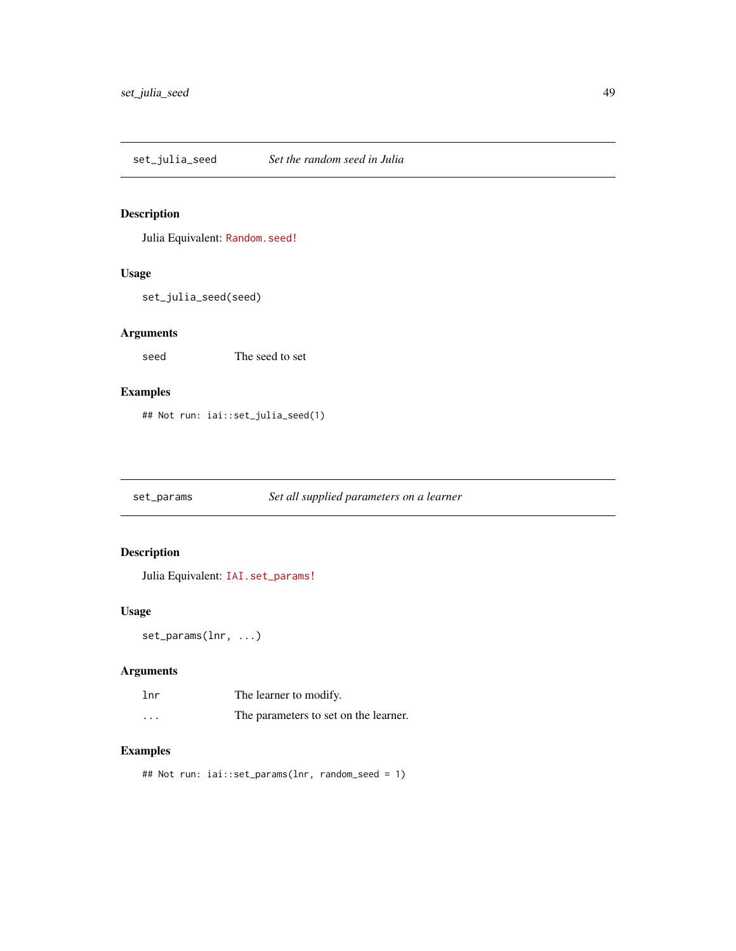<span id="page-48-0"></span>set\_julia\_seed *Set the random seed in Julia*

## Description

Julia Equivalent: [Random.seed!](https://docs.julialang.org/en/v1/stdlib/Random/index.html#Random.seed!)

## Usage

set\_julia\_seed(seed)

## Arguments

seed The seed to set

## Examples

## Not run: iai::set\_julia\_seed(1)

set\_params *Set all supplied parameters on a learner*

## Description

Julia Equivalent: [IAI.set\\_params!](https://docs.interpretable.ai/v2.0.0/IAIBase/reference/#IAI.set_params!)

## Usage

set\_params(lnr, ...)

## Arguments

| lnr                     | The learner to modify.                |
|-------------------------|---------------------------------------|
| $\cdot$ $\cdot$ $\cdot$ | The parameters to set on the learner. |

## Examples

## Not run: iai::set\_params(lnr, random\_seed = 1)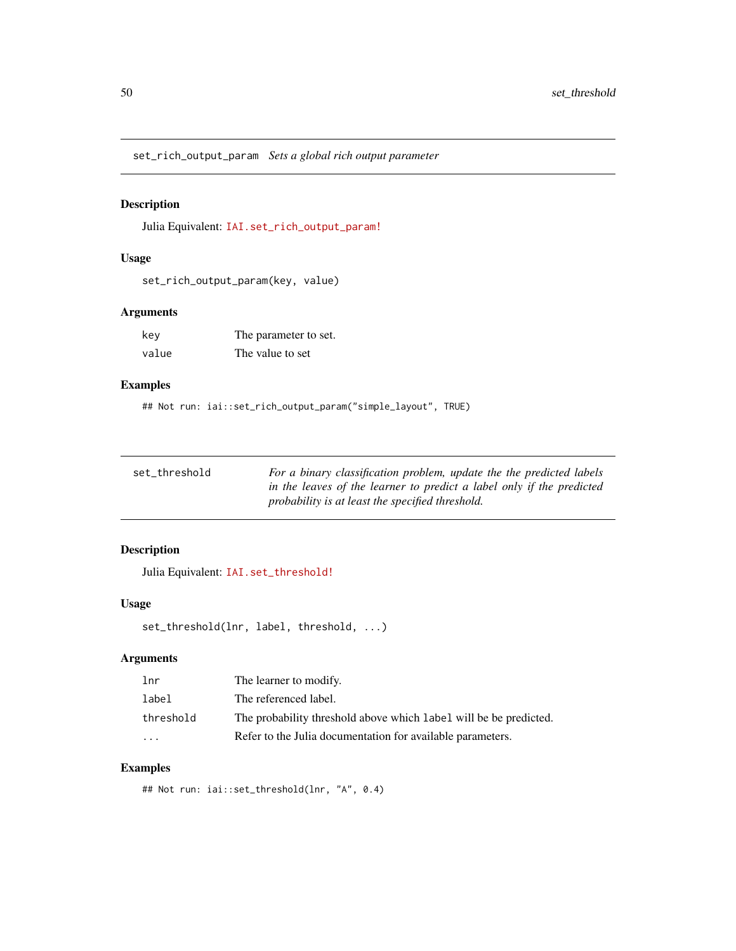<span id="page-49-0"></span>set\_rich\_output\_param *Sets a global rich output parameter*

## Description

Julia Equivalent: [IAI.set\\_rich\\_output\\_param!](https://docs.interpretable.ai/v2.0.0/IAIBase/reference/#IAI.set_rich_output_param!)

## Usage

set\_rich\_output\_param(key, value)

## Arguments

| kev   | The parameter to set. |
|-------|-----------------------|
| value | The value to set      |

## Examples

## Not run: iai::set\_rich\_output\_param("simple\_layout", TRUE)

| set threshold | For a binary classification problem, update the the predicted labels  |
|---------------|-----------------------------------------------------------------------|
|               | in the leaves of the learner to predict a label only if the predicted |
|               | probability is at least the specified threshold.                      |

## Description

Julia Equivalent: [IAI.set\\_threshold!](https://docs.interpretable.ai/v2.0.0/IAITrees/reference/#IAI.set_threshold!)

## Usage

```
set_threshold(lnr, label, threshold, ...)
```
## Arguments

| 1 <sub>nr</sub> | The learner to modify.                                            |
|-----------------|-------------------------------------------------------------------|
| label           | The referenced label.                                             |
| threshold       | The probability threshold above which label will be be predicted. |
| $\cdot$         | Refer to the Julia documentation for available parameters.        |

## Examples

## Not run: iai::set\_threshold(lnr, "A", 0.4)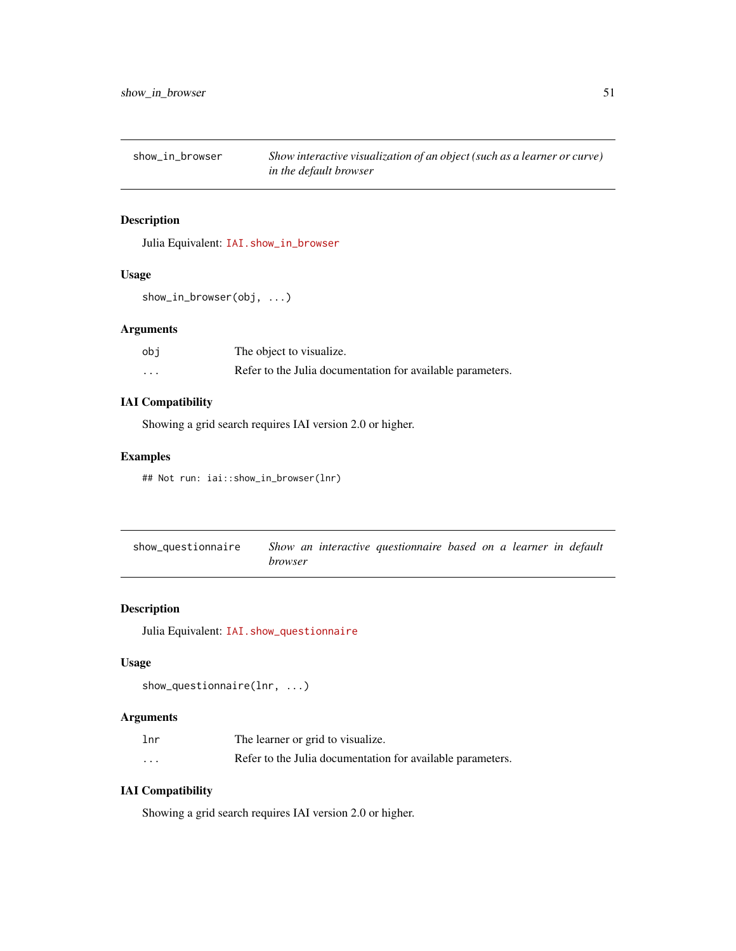<span id="page-50-0"></span>show\_in\_browser *Show interactive visualization of an object (such as a learner or curve) in the default browser*

### Description

Julia Equivalent: [IAI.show\\_in\\_browser](https://docs.interpretable.ai/v2.0.0/IAIBase/reference/#IAI.show_in_browser)

#### Usage

```
show_in_browser(obj, ...)
```
## Arguments

| obi     | The object to visualize.                                   |
|---------|------------------------------------------------------------|
| $\cdot$ | Refer to the Julia documentation for available parameters. |

## IAI Compatibility

Showing a grid search requires IAI version 2.0 or higher.

## Examples

```
## Not run: iai::show_in_browser(lnr)
```

| show_questionnaire | Show an interactive questionnaire based on a learner in default |  |
|--------------------|-----------------------------------------------------------------|--|
|                    | <i>browser</i>                                                  |  |

## Description

Julia Equivalent: [IAI.show\\_questionnaire](https://docs.interpretable.ai/v2.0.0/IAITrees/reference/#IAI.show_questionnaire)

## Usage

```
show_questionnaire(lnr, ...)
```
## Arguments

| lnr                     | The learner or grid to visualize.                          |
|-------------------------|------------------------------------------------------------|
| $\cdot$ $\cdot$ $\cdot$ | Refer to the Julia documentation for available parameters. |

## IAI Compatibility

Showing a grid search requires IAI version 2.0 or higher.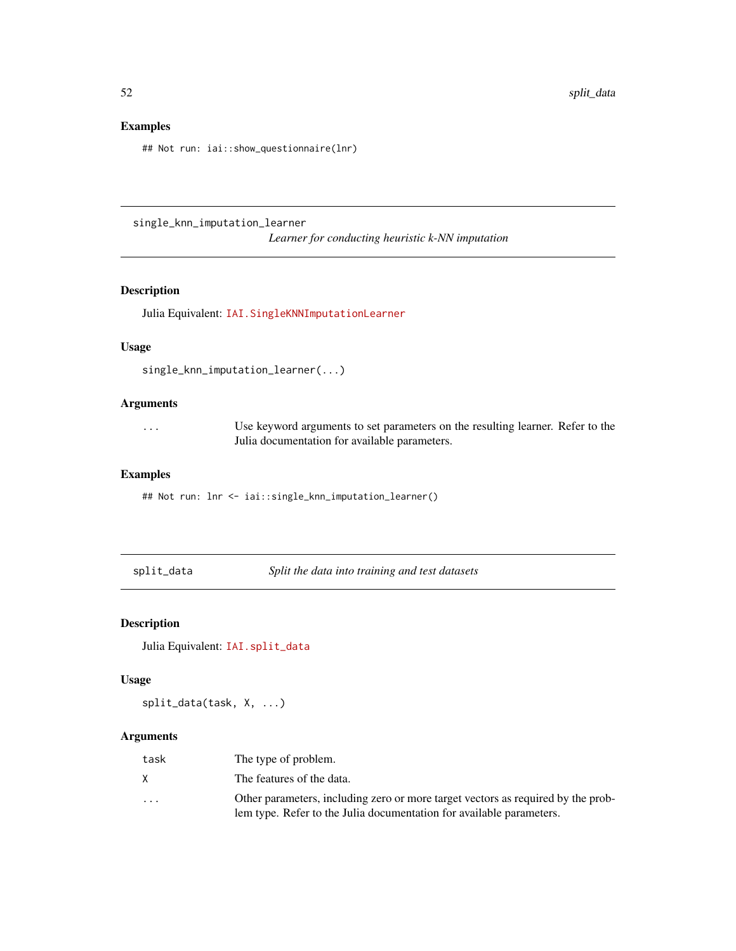## Examples

## Not run: iai::show\_questionnaire(lnr)

single\_knn\_imputation\_learner *Learner for conducting heuristic k-NN imputation*

## Description

Julia Equivalent: [IAI.SingleKNNImputationLearner](https://docs.interpretable.ai/v2.0.0/OptImpute/reference/#IAI.SingleKNNImputationLearner)

## Usage

```
single_knn_imputation_learner(...)
```
## Arguments

| . | Use keyword arguments to set parameters on the resulting learner. Refer to the |
|---|--------------------------------------------------------------------------------|
|   | Julia documentation for available parameters.                                  |

## Examples

## Not run: lnr <- iai::single\_knn\_imputation\_learner()

split\_data *Split the data into training and test datasets*

## Description

```
Julia Equivalent: IAI.split_data
```
## Usage

split\_data(task, X, ...)

## Arguments

| task    | The type of problem.                                                                                                                                     |
|---------|----------------------------------------------------------------------------------------------------------------------------------------------------------|
| X       | The features of the data.                                                                                                                                |
| $\cdot$ | Other parameters, including zero or more target vectors as required by the prob-<br>lem type. Refer to the Julia documentation for available parameters. |

<span id="page-51-0"></span>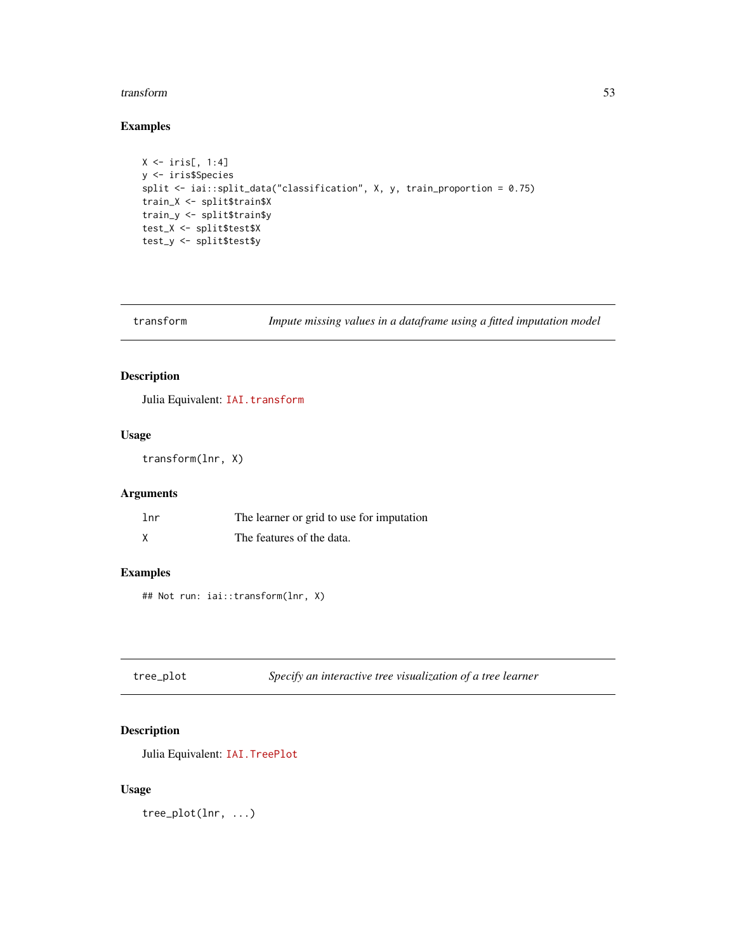#### <span id="page-52-0"></span>transform 53

## Examples

```
X \leftarrow \text{iris}[, 1:4]y <- iris$Species
split <- iai::split_data("classification", X, y, train_proportion = 0.75)
train_X <- split$train$X
train_y <- split$train$y
test_X <- split$test$X
test_y <- split$test$y
```

| transform | Impute missing values in a dataframe using a fitted imputation model |  |  |  |  |  |  |
|-----------|----------------------------------------------------------------------|--|--|--|--|--|--|
|-----------|----------------------------------------------------------------------|--|--|--|--|--|--|

## Description

Julia Equivalent: [IAI.transform](https://docs.interpretable.ai/v2.0.0/IAIBase/reference/#IAI.transform)

## Usage

transform(lnr, X)

## Arguments

| 1 <sub>nr</sub> | The learner or grid to use for imputation |
|-----------------|-------------------------------------------|
|                 | The features of the data.                 |

## Examples

## Not run: iai::transform(lnr, X)

tree\_plot *Specify an interactive tree visualization of a tree learner*

## Description

Julia Equivalent: [IAI.TreePlot](https://docs.interpretable.ai/v2.0.0/IAITrees/reference/#IAI.TreePlot)

## Usage

tree\_plot(lnr, ...)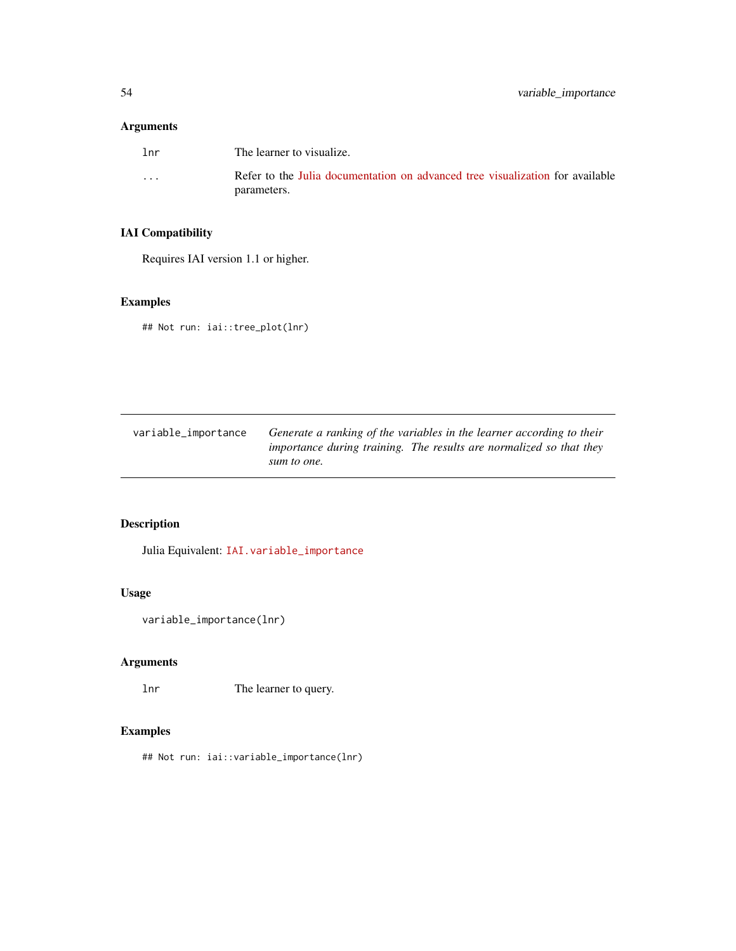## <span id="page-53-0"></span>Arguments

| 1 <sub>nr</sub> | The learner to visualize.                                                                    |
|-----------------|----------------------------------------------------------------------------------------------|
| $\cdots$        | Refer to the Julia documentation on advanced tree visualization for available<br>parameters. |

## IAI Compatibility

Requires IAI version 1.1 or higher.

## Examples

## Not run: iai::tree\_plot(lnr)

| variable_importance | Generate a ranking of the variables in the learner according to their |
|---------------------|-----------------------------------------------------------------------|
|                     | importance during training. The results are normalized so that they   |
|                     | sum to one.                                                           |

## Description

Julia Equivalent: [IAI.variable\\_importance](https://docs.interpretable.ai/v2.0.0/IAIBase/reference/#IAI.variable_importance)

## Usage

```
variable_importance(lnr)
```
## Arguments

lnr The learner to query.

## Examples

## Not run: iai::variable\_importance(lnr)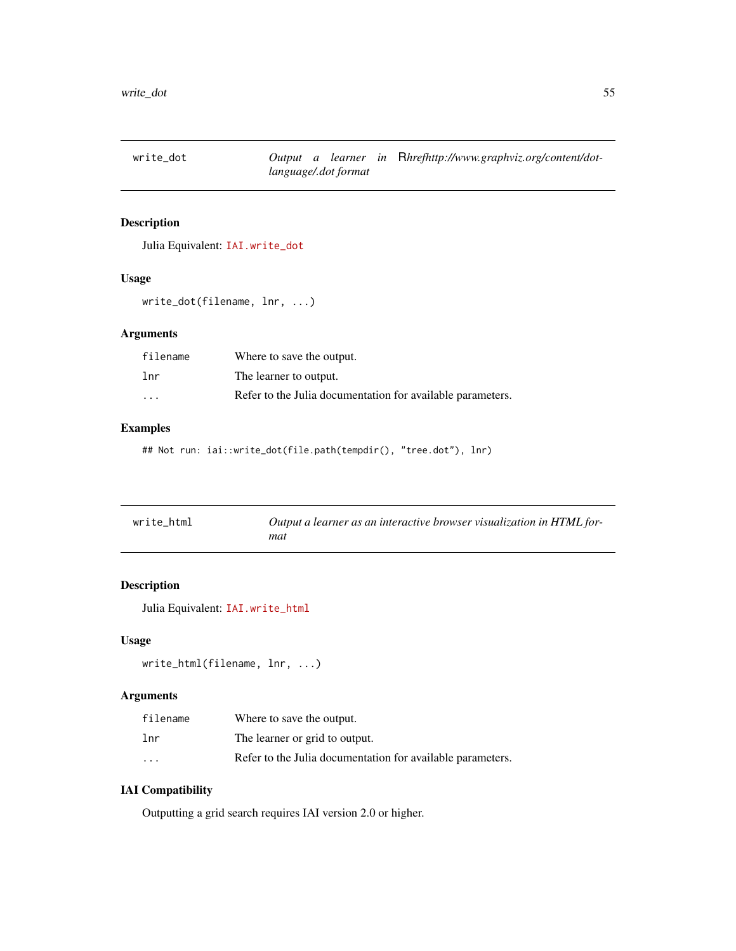<span id="page-54-0"></span>

Julia Equivalent: [IAI.write\\_dot](https://docs.interpretable.ai/v2.0.0/IAITrees/reference/#IAI.write_dot)

#### Usage

```
write_dot(filename, lnr, ...)
```
## Arguments

| filename | Where to save the output.                                  |
|----------|------------------------------------------------------------|
| lnr      | The learner to output.                                     |
| $\cdot$  | Refer to the Julia documentation for available parameters. |

## Examples

## Not run: iai::write\_dot(file.path(tempdir(), "tree.dot"), lnr)

| write_html | Output a learner as an interactive browser visualization in HTML for- |
|------------|-----------------------------------------------------------------------|
|            | mat                                                                   |

## Description

Julia Equivalent: [IAI.write\\_html](https://docs.interpretable.ai/v2.0.0/IAITrees/reference/#IAI.write_html)

### Usage

```
write_html(filename, lnr, ...)
```
## Arguments

| filename             | Where to save the output.                                  |
|----------------------|------------------------------------------------------------|
| lnr                  | The learner or grid to output.                             |
| $\ddot{\phantom{0}}$ | Refer to the Julia documentation for available parameters. |

## IAI Compatibility

Outputting a grid search requires IAI version 2.0 or higher.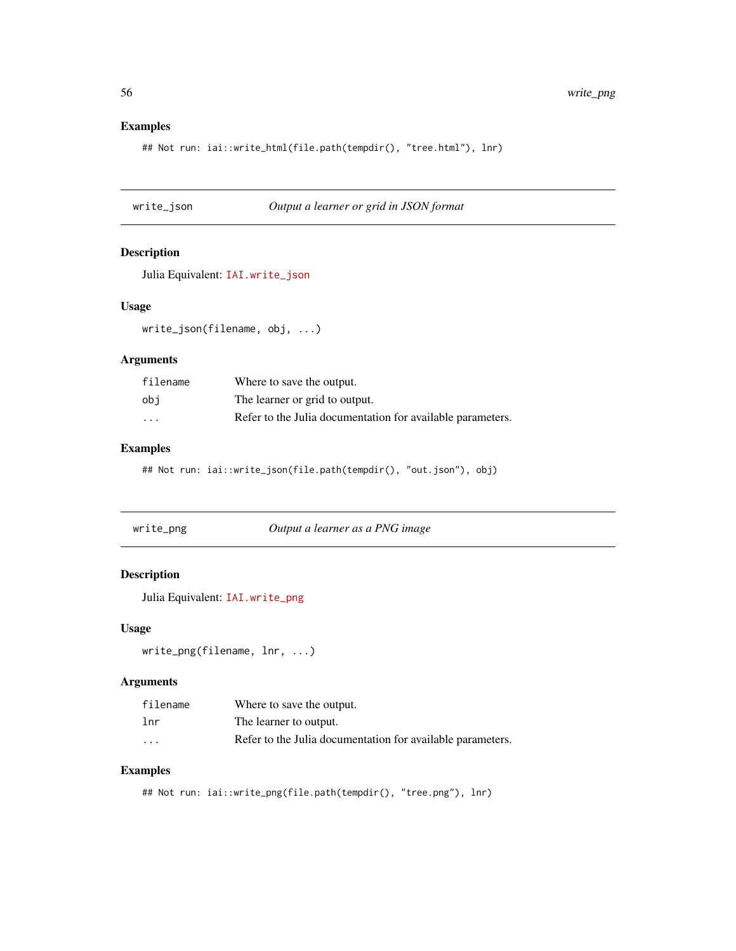## <span id="page-55-0"></span>Examples

```
## Not run: iai::write_html(file.path(tempdir(), "tree.html"), lnr)
```
write\_json *Output a learner or grid in JSON format*

#### Description

Julia Equivalent: [IAI.write\\_json](https://docs.interpretable.ai/v2.0.0/IAIBase/reference/#IAI.write_json)

### Usage

write\_json(filename, obj, ...)

#### Arguments

| filename | Where to save the output.                                  |
|----------|------------------------------------------------------------|
| obi      | The learner or grid to output.                             |
| $\cdot$  | Refer to the Julia documentation for available parameters. |

## Examples

## Not run: iai::write\_json(file.path(tempdir(), "out.json"), obj)

| write_png | Output a learner as a PNG image |
|-----------|---------------------------------|
|-----------|---------------------------------|

## Description

Julia Equivalent: [IAI.write\\_png](https://docs.interpretable.ai/v2.0.0/IAITrees/reference/#IAI.write_png)

### Usage

```
write_png(filename, lnr, ...)
```
#### Arguments

| filename | Where to save the output.                                  |
|----------|------------------------------------------------------------|
| lnr      | The learner to output.                                     |
| $\cdot$  | Refer to the Julia documentation for available parameters. |

## Examples

## Not run: iai::write\_png(file.path(tempdir(), "tree.png"), lnr)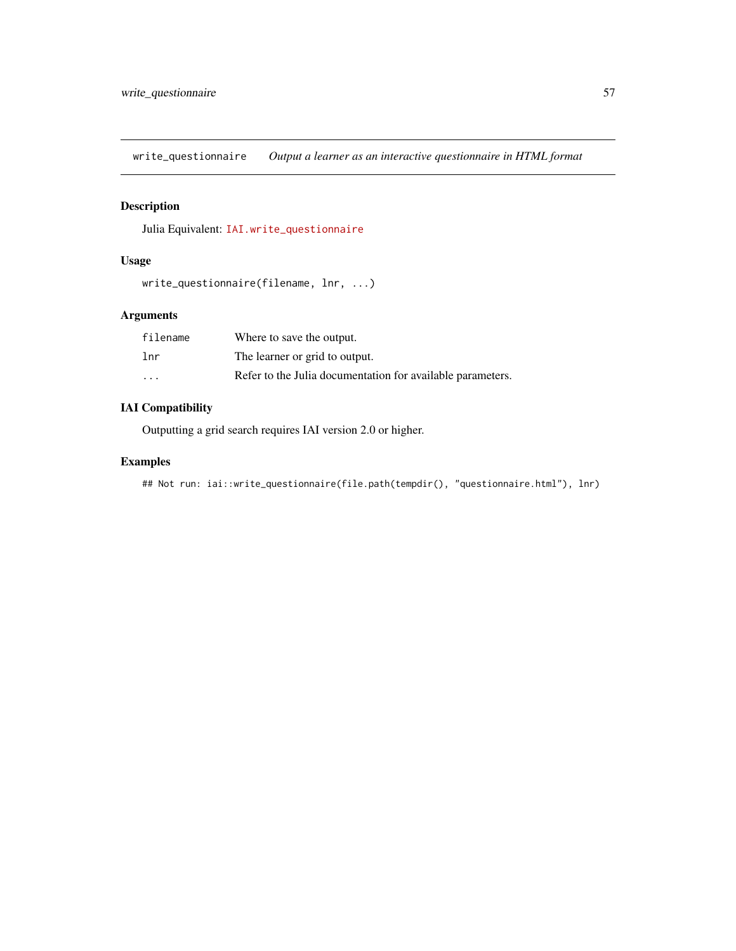<span id="page-56-0"></span>write\_questionnaire *Output a learner as an interactive questionnaire in HTML format*

## Description

Julia Equivalent: [IAI.write\\_questionnaire](https://docs.interpretable.ai/v2.0.0/IAITrees/reference/#IAI.write_questionnaire)

## Usage

```
write_questionnaire(filename, lnr, ...)
```
## Arguments

| filename | Where to save the output.                                  |
|----------|------------------------------------------------------------|
| lnr      | The learner or grid to output.                             |
| $\cdot$  | Refer to the Julia documentation for available parameters. |

## IAI Compatibility

Outputting a grid search requires IAI version 2.0 or higher.

## Examples

```
## Not run: iai::write_questionnaire(file.path(tempdir(), "questionnaire.html"), lnr)
```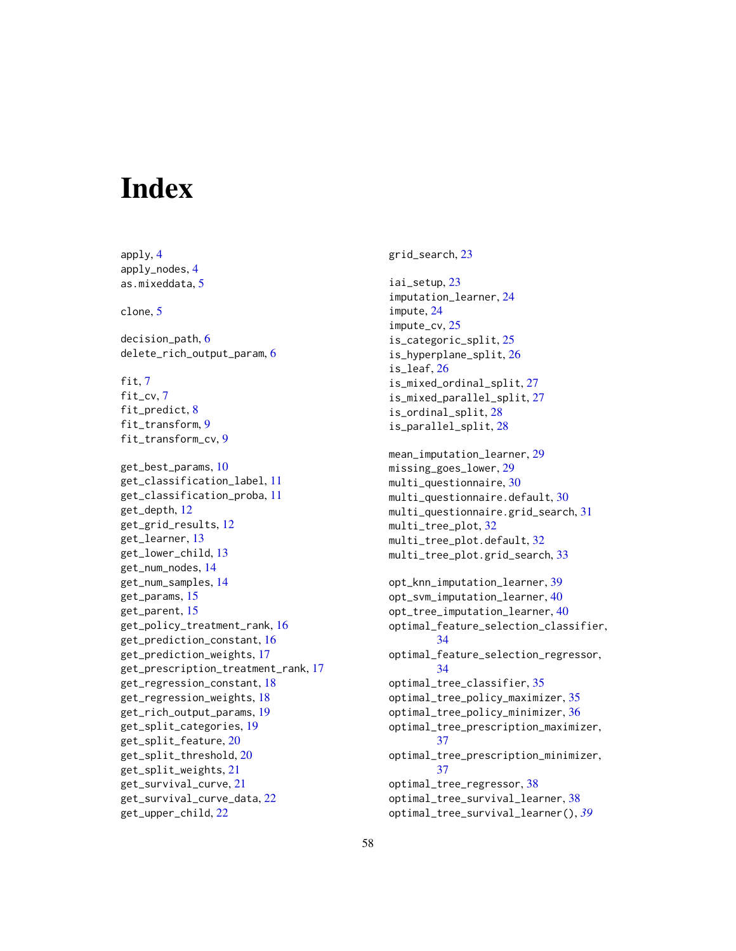# <span id="page-57-0"></span>**Index**

apply, [4](#page-3-0) apply\_nodes, [4](#page-3-0) as.mixeddata, [5](#page-4-0) clone, [5](#page-4-0) decision\_path, [6](#page-5-0) delete\_rich\_output\_param, [6](#page-5-0) fit,  $7$ fit\_cv, [7](#page-6-0) fit\_predict, [8](#page-7-0) fit\_transform, [9](#page-8-0) fit\_transform\_cv, [9](#page-8-0) get\_best\_params, [10](#page-9-0) get\_classification\_label, [11](#page-10-0) get\_classification\_proba, [11](#page-10-0) get\_depth, [12](#page-11-0) get\_grid\_results, [12](#page-11-0) get\_learner, [13](#page-12-0) get\_lower\_child, [13](#page-12-0) get\_num\_nodes, [14](#page-13-0) get\_num\_samples, [14](#page-13-0) get\_params, [15](#page-14-0) get\_parent, [15](#page-14-0) get\_policy\_treatment\_rank, [16](#page-15-0) get\_prediction\_constant, [16](#page-15-0) get\_prediction\_weights, [17](#page-16-0) get\_prescription\_treatment\_rank, [17](#page-16-0) get\_regression\_constant, [18](#page-17-0) get\_regression\_weights, [18](#page-17-0) get\_rich\_output\_params, [19](#page-18-0) get\_split\_categories, [19](#page-18-0) get\_split\_feature, [20](#page-19-0) get\_split\_threshold, [20](#page-19-0) get\_split\_weights, [21](#page-20-0) get\_survival\_curve, [21](#page-20-0) get\_survival\_curve\_data, [22](#page-21-0) get\_upper\_child, [22](#page-21-0)

grid\_search, [23](#page-22-0)

```
iai_setup, 23
imputation_learner, 24
impute, 24
impute_cv, 25
is_categoric_split, 25
is_hyperplane_split, 26
is_leaf, 26
is_mixed_ordinal_split, 27
is_mixed_parallel_split, 27
is_ordinal_split, 28
is_parallel_split, 28
mean_imputation_learner, 29
missing_goes_lower, 29
multi_questionnaire, 30
multi_questionnaire.default, 30
multi_questionnaire.grid_search, 31
multi_tree_plot, 32
multi_tree_plot.default, 32
multi_tree_plot.grid_search, 33
```

```
opt_knn_imputation_learner, 39
opt_svm_imputation_learner, 40
opt_tree_imputation_learner, 40
optimal_feature_selection_classifier,
        34
optimal_feature_selection_regressor,
        34
optimal_tree_classifier, 35
optimal_tree_policy_maximizer, 35
optimal_tree_policy_minimizer, 36
optimal_tree_prescription_maximizer,
        37
optimal_tree_prescription_minimizer,
        37
optimal_tree_regressor, 38
optimal_tree_survival_learner, 38
optimal_tree_survival_learner(), 39
```